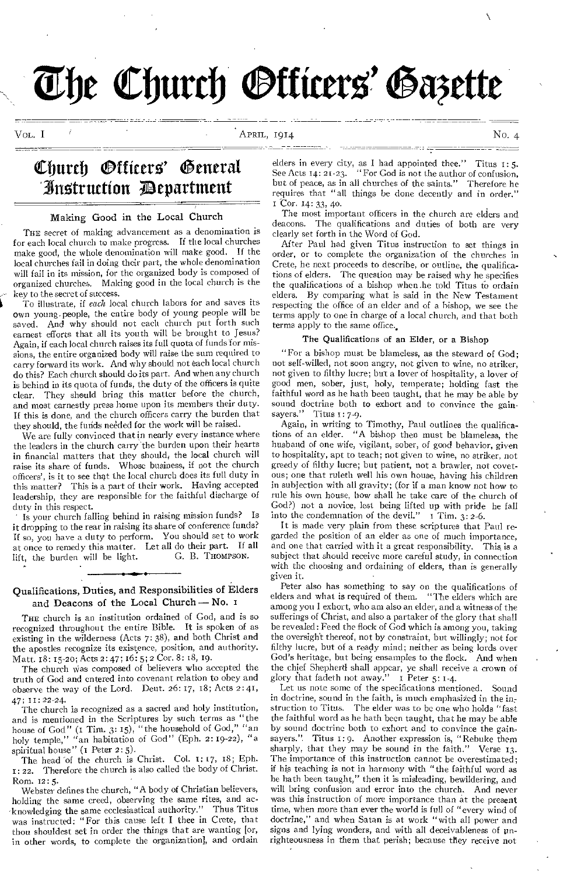# The Church *Otticers'* Gazette

Vol. I  $/$  No. 4

11. . . . . . . <u>. . . . . . . . . .</u> . .

# Church Officers' General Instruction **D**epartment

#### Making Good in the Local Church

THE secret of making advancement as a denomination is for each local church to make progress. If the local churches make good, the whole denomination will make good. If the local churches fail in doing their part, the whole denomination will fail in its mission, for the organized body is composed of organized churches. Making good in the local church is the key to the secret of success.

To illustrate, if *each* local church labors for and saves its own young. people, the entire body of young people will be saved. And why should not each church put forth such earnest efforts that all its youth will be brought to Jesus? Again, if each local church raises its full quota of funds for missions, the entire organized body will raise the sum required to carry forward its work. And why should not each local church do this? Each church should do its part. And when any church is behind in its quota of funds, the duty of the officers is quite clear. They should bring this matter before the church, and most earnestly press home upon its members their duty. If this is done, and the church officers carry the burden that they should, the funds needed for the work will be raised.

We are fully convinced that in nearly every instance where the leaders in the church carry the burden upon their hearts in financial matters that they should, the local church will raise its share of funds. Whose business, if not the church officers', is it to see that the local church does its full duty in this matter? This is a part of their work. Having accepted leadership, they are responsible for the faithful discharge of duty in this respect.

Is your church falling behind in raising mission funds? Is it dropping to the rear in raising its share of conference funds? If so, you have a duty to perform. You should set to work at once to remedy this matter. Let all do their part. If all lift, the burden will be light.

## Qualifications, Duties, and Responsibilities of Elders and Deacons of the Local Church-No. I

THE church is an institution ordained of God, and is so recognized throughout the entire Bible. It is spoken of as existing in the wilderness (Acts 7:38), and both Christ and the apostles recognize its existence, position, and authority. Matt. x8: 15-2o; Acts 2:47; 16: 5; 2 Cor. 8: 18, 19.

The church was composed of believers who accepted the truth of God and entered into covenant relation to obey and observe the way of the Lord. Deut. 26: 17, 18; Acts 2:41, 47 ; 11: 22-24.

The church is recognized as a sacred and holy institution,<br>d is mentioned in the Scriptures by such terms as "the and is mentioned in the Scriptures by such terms as house of God" (1 Tim. 3: 15), "the household of God," "an holy temple," "an habitation of God" (Eph. 2: 19-22), "a spiritual house"  $(1$  Peter 2: 5).

The head of the church is Christ. Col. I: 17, 18; Eph. I: 22. Therefore the church is also called the body of Christ. Rom. 12:5.

Webster defines the church, "A body of Christian believers, holding the same creed, observing the same rites, and acknowledging the same ecclesiastical authority." Thus Titus was instructed: "For this cause left I thee in Crete, that thou shouldest set in order the things that are wanting [or, in other words, to complete the organization], and ordain

elders in every city, as I had appointed thee." Titus 1:5. See Acts 14: 21-23. "For God is not the author of confusion, but of peace, as in all churches of the saints." Therefore he requires that "all things be done decently and in order." Cor. 14: 33, 40.

The most important officers in the church are elders and deacons. The qualifications and duties of both are very clearly set forth in the Word of God.

After Paul had given Titus instruction to set things in order, or to complete the organization of the churches in Crete, he next proceeds to describe, or outline, the qualifications of elders. The question may be raised why he specifies The question may be raised why he specifies the qualifications of a bishop when .he told Titus to ordain elders. By comparing what is said in the New Testament respecting the office of an elder and of a bishop, we see the terms apply to one in charge of a local church, and that both terms apply to the same office.

#### The Qualifications of an Elder, or a Bishop

"For a bishop must be blameless, as the steward of God; not self-willed, not soon angry, not given to wine, no striker, not given to filthy lucre; but a lover of hospitality, a lover of good men, sober, just, holy, temperate; holding fast the faithful word as he hath been taught, that he may be able by sound doctrine both to exhort and to convince the gain-sayers." Titus  $1:7-9$ . Titus  $1: 7-9$ .

Again, in writing to Timothy, Paul outlines the qualifications of an elder. "A bishop then must be blameless, the "A bishop then must be blameless, the husband of one wife, vigilant, sober, of good behavior, given to hospitality, apt to teach; not given to wine, no striker, not greedy of filthy lucre; but patient, not a brawler, not covetous; one that ruleth well his own house, having his children in subjection with all gravity; (for if a man know not how to rule his own house, how shall he take care of the church of God?) not a novice, lest being lifted up with pride he fall into the condemnation of the devil."  $I$  Tim. 3: 2-6.

It is made very plain from these scriptures that Paul regarded the position of an elder as one of much importance, and one that carried with it a great responsibility. This is a subject that should receive more careful study, in connection with the choosing and ordaining of elders, than is generally given it.

Peter also has something to say on the qualifications of elders and what is required of them. "The elders which are among you I exhort, who am also an elder, and a witness of the sufferings of Christ, and also a partaker of the glory that shall be revealed: Feed the flock of God which is among you, taking the oversight thereof, not by constraint, but willingly; not for filthy lucre, but of a ready mind; neither as being lords over God's heritage, but being ensamples to the flock. And when the chief Shepherd shall appear, ye shall receive a crown of glory that fadeth not away." x Peter 5: 1-4.

Let us note some of the specifications mentioned. Sound in doctrine, sound in the faith, is much emphasized in the instruction to Titus. The elder was to be one who holds "fast the faithful word as he bath been taught, that he may be able by sound doctrine both to exhort and to convince the gainsayers.". Titus 1:9. Another expression is, "Rebuke them sharply, that they may be sound in the faith." Verse  $_{13}$ . The importance of this instruction cannot be overestimated; if his teaching is not in harmony with "the faithful word as he hath been taught," then it is misleading, bewildering, and will bring confusion and error into the church. And never was this instruction of more importance than at the present time, when more than ever the world is full of "every wind of doctrine," and when Satan is at work "with all power and signs and lying wonders, and with all deceivableness of unrighteousness in them that perish; because they receive not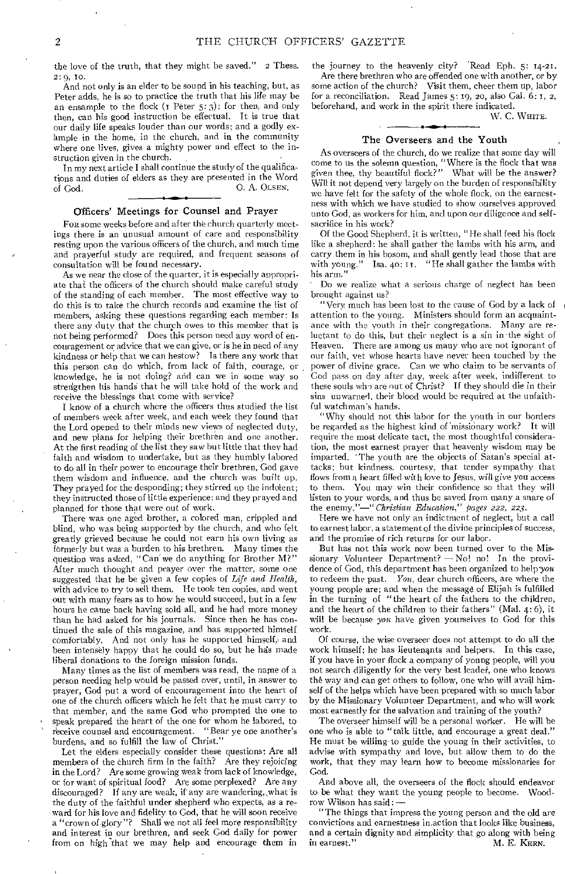the love of the truth, that they might be saved." 2 Thess. 2:9, 1o.

And not only is an elder to be sound in his teaching, but, as Peter adds, he is so to practice the truth that his life may be an ensample to the flock  $(1$  Peter  $5:3)$ ; for then, and only then, can his good instruction be effectual. It is true that our daily life speaks louder than our words; and a godly example in the home, in the church, and in the community where one lives, gives a mighty power and effect to the instruction given in the church.

In my next article I shall continue the study of the qualifications and duties of elders as they are presented in the Word of God. 0. A. OLSEN.

#### Officers' Meetings for Counsel and Prayer

FOR some weeks before and after the church quarterly meetings there is an unusual amount of care and responsibility resting upon the various officers of the church, and much time and prayerful study are required, and frequent seasons of consultation will be found necessary.

As we near the close of the quarter, it is especially appropriate that the officers of the church should make careful study of the standing of each member. The most effective way to do this is to take the church records and examine the list of members, asking these questions regarding each member: Is there any duty that the church owes to this member that is not being performed? Does this person need any word of encouragement or advice that we can give, or is he in need of any kindness or help that we can bestow? Is there any work that this person can do which, from lack of faith, courage, or knowledge, he is not doing? and can we in some way so strengthen his hands that he will take hold of the work and receive the blessings that come with service?

I know of a church where the officers thus studied the list of members week after week, and each week they found that the Lord opened to their minds new views of neglected duty, and new plans for helping their brethren and one another. At the first reading of the list they saw but little that they had faith and wisdom to undertake, but as they humbly labored to do all in their power to encourage their brethren, God gave them wisdom and influence, and the church was built up. They prayed for the desponding; they stirred up the indolent; they instructed those of little experience: and they prayed and planned for those that were out of work.

There was one aged brother, a colored man, crippled and blind, who was being supported by the church, and who felt greatly grieved because he could not earn his own living as formerly but was a burden to his brethren. Many times the question was asked, "Can'we do anything for Brother M?" After much thought and prayer over the matter, some one suggested that he be given a few copies of *Life and Health,*  with advice to try to sell them. He took ten copies, and went out with many fears as to how he would succeed, but in a few hours he came back having sold all, and he had more money than he had asked for his journals. Since then he has continued the sale of this magazine, and has supported himself comfortably. And not only has he supported himself,) and been intensely happy that he could do so, but he has made liberal donations to the foreign mission funds.

Many times as the list of members was read, the name of a person needing help would be passed over, until, in answer to prayer, God put a word of encouragement into the heart of one of the church officers which he felt that he must carry to that member, and the same God who prompted the one to speak prepared the heart of the one for whom he labored, to receive counsel and encouragement. "Bear ye one another's burdens, and so fulfill the law of Christ."

Let the elders especially consider these questions: Are all members of the church firm in the faith? Are they rejoicing in the Lord? Are some growing weak from lack of knowledge, or for want of spiritual food? Are some perplexed? Are any discouraged? If any are weak, if any are wandering, what is the duty of the faithful under shepherd who expects, as a reward for his love and fidelity to God, that he will soon receive a "crown of glory"? Shall we not all feel more responsibility and interest in our brethren, and seek God daily for power from on high that we may help and encourage them in the journey to the heavenly city? Read Eph.  $5: 14-21$ . Are there brethren who are offended one with another, or by

some action of the church? Visit them, cheer them up, labor for a reconciliation. Read James 5: 19, zo, also Gal. 6: 1, 2, beforehand, and work in the spirit there indicated.

W. C. WHITE.

#### The Overseers and the Youth

As overseers of the church, do we realize that some day will come to us the solemn question, "Where is the flock that was given thee, thy beautiful flock?" What will be the answer? Will it not depend very largely on the burden of responsibility we have felt for the safety of the whole flock, on the earnestness with which we have studied to show ourselves approved unto God, as workers for him, and upon our diligence and selfsacrifice in his work?

Of the Good Shepherd, it is written, "He shall feed his flock like a shepherd: he shall gather the lambs with his arm, and carry them in his bosom, and shall gently lead those that are with young." Isa. 40: 11. "He shall gather the lambs with his arm."

' Do we realize what a serious charge of neglect has been brought against us?

"Very much has been lost to the cause of God by a lack of attention to the young. Ministers should form an acquaintance with the youth in their congregations. Many are reluctant to do this, but their neglect is a sin in the sight of Heaven. There are among us many who are not ignorant of our faith, vet whose hearts have never been touched by the power of divine grace. Can we who claim to be servants of God pass on day after day, week after week, indifferent to these souls who are out of Christ? If they should die in their sins unwarned, their blood would be required at the unfaithful watchman's hands.

"Why should not this labor for the youth in our borders be regarded as the highest kind of 'missionary work? It will require the most delicate tact, the most thoughtful consideration, the most earnest prayer that heavenly wisdom may he imparted. 'The youth are the objects of Satan's special attacks; but kindness, courtesy, that tender sympathy that flows from a heart filled with love to Jesus, will give you access to them. You may win their confidence so that they will listen to your words, and thus be saved from many a snare of the enemy."—" *Christian Education," pages 222, 223.* 

Here we have not only an indictment of neglect, but a call to earnest labor, a statement of the divine principles of success, and the promise of rich returns for our labor.

But has not this work now been turned over to the Missionary Volunteer Department? - No! no! In the providence of God, this department has been organized to help you to redeem the past. *You,* dear church officers, are where the young people are; and when the message of Elijah is fulfilled in the turning of "the heart of the fathers to the children, and the heart of the children to their fathers" (Mal. 4: 6), it will be because *you* have given yourselves to God for this work.

Of course, the wise overseer does not attempt to do all the work himself; he has lieutenants and helpers. In this case, if you have in your flock a company of young people, will you not search diligently for the very best leader, one who knows the way and can get others to follow, one who will avail himself of the helps which have been prepared with so much labor by the Missionary Volunteer Department, and who will work most earnestly for the salvation and training of the youth?

The overseer himself will be a personal worker. He will be one who is able to "talk little, and encourage a great deal." He must be willing to guide the young in their activities, to advise with sympathy and love, but allow them to do the work, that they may learn how to become missionaries for God,

And above all, the overseers of the flock should endeavor to be what they want the young people to become. Woodrow Wilson has said: —

"The things that impress the young person and the old are convictions and earnestness inaction that looks like business, and a certain dignity and simplicity that go along with being<br>in earnest."<br>M. E. KERN. M. E. KERN.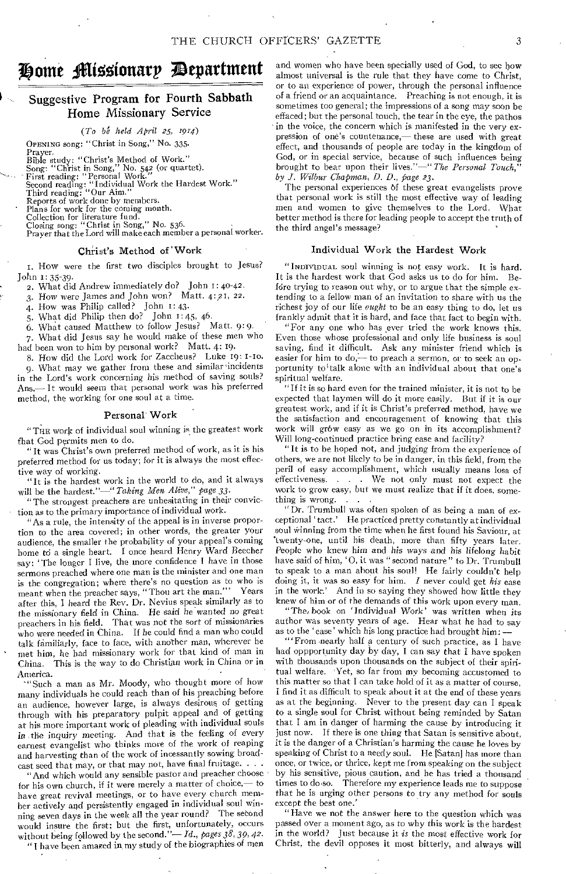# Home Missionary Department

## Suggestive Program for Fourth Sabbath Home Missionary Service

#### *(To be held April 25, 1914)*

OPENING song: "Christ in Song," No. 335.

Prayer. Bible study: "Christ's Method of Work." Song: "Christ in Song," No. 542 (or quartet).

- First reading: "Personal Work." Second reading: "Individual Work the Hardest Work."

Third reading: "Our Aim," Reports of work done by members.

Plans for work for the coming month.

Collection for literature fund. Closing song: "Christ in Song," No. 536.

Prayer that the Lord will make each member a personal worker.

#### Christ's Method of 'Work

1. How were the first two disciples brought to Jesus? John I:35-39•

2. What did Andrew immediately do? John I: 40-42.

*3. How* were James and John won? Matt. 4:21, 22.

4. How was Philip called? John 1:43.

5. What did Philip then do? John I: 45, 46.

6. What caused Matthew to follow Jesus? Matt. 9:9.

What did Jesus say he would make of these men who had been won to him by personal work? Matt. 4: 19.

8. How did the Lord work for Zaccheus? Luke 19: 1-10. 9. What may we gather from these and similar :incidents in the Lord's work concerning his method of saving souls? Ans.— It would seem that personal work was his preferred method, the working for one soul at a time.

#### Personal Work

"TIE work of individual soul winning is the greatest work that God permits men to do.

" It was Christ's own preferred method of work, as it is his preferred method for us today; for it is always the most effective way of working.

"It is the hardest work in the world to do, and it always will be the hardest."—" *Taking Men Alive," page 33.* 

"The strongest preachers are unhesitating in their conviction as to the primary importance of individual work.

"As a rule, the intensity of the appeal is in inverse proportion to the area covered; in other words, the greater your audience, the smaller the probability of your appeal's coming home to a single heart. I once heard Henry Ward Beecher say: 'The longer I live, the more confidence I have in those sermons preached where one man is the minister and one man is the congregation; where there's no question as to who is<br>meant who the preacher says "Thou art the man." Years meant when the preacher says, "Thou art the man."' after this, I heard the Rev. Dr. Nevins speak similarly as to the missionary field in China. He said he wanted *no* great preachers in his field. That was not the sort of missionaries who were needed in China. If he could find a man who could talk familiarly, face to face, with another man, wherever he met him, he had missionary work for that kind of man in China. This is the way to do Christian work in China or in America.

"'Such a man as Mr. Moody, who thought more of how many individuals he could reach than of his preaching before an audience, however large, is always desirous of getting through with his preparatory pulpit appeal and of getting at his more important work of pleading with individual souls in the *inquiry meeting.* And that is the feeling of every earnest evangelist who thinks more of the work of reaping and harvesting than of the work of incessantly sowing broadcast seed that may, or that may not, have final fruitage. . .

"And which would any sensible pastor and preacher choose"  $\epsilon$  is own church if it were merely a matter of choice,  $\rightarrow$  to for his own church, if it were merely a matter of choice,have great revival meetings, or to have every church member actively and persistently engaged in individual soul winning seven days in the week all the year round? The second would insure the first; but the first, unfortunately, occurs without being followed by the second."— *Id., pages 38, 39, 42. "I* have been amazed in my study of the biographies of men

and women who have been specially used of God, to see how almost universal is the rule that they have come to Christ, or to an experience of power, through the personal influence of a friend or an acquaintance. Preaching is not enough, it is sometimes too general; the impressions of a song may soon be effaced; but the personal touch, the tear in the eye, the pathos in the voice, the concern which is manifested in the very expression of one's countenance,— these are used with great effect, and thousands of people are today in the kingdom of God, or in special service, because of such influences being brought to bear upon their lives."—" *The Personal Touch," by J. Wilbur Chapman, D. D., page 23.* 

The personal experiences bf these great evangelists prove that personal work is still the most effective way of leading men and women to give themselves to the Lord. What better method is there for leading people to accept the truth of the third angel's message?

#### Individual Work the Hardest Work

"INDIVIDUAL soul winning is not easy work. It is hard. It is the hardest work that God asks us to do for him. Before trying to reason out why, or to argue that the simple extending to a fellow man of an invitation to share with us the richest joy of our life *ought* to be an easy thing to do, let us frankly admit that it is hard, and face that fact to begin with.

"For any one who has ever tried the work knows this. Even those whose professional and only life business is soul saving, find it difficult. Ask any minister friend which is easier for him to do,— to preach a sermon, or to seek an opportunity to' talk alone with an individual about that one's spiritual welfare.

"If it is so hard even for the trained minister, it is not to be expected that laymen will do it more easily. But if it is our greatest work, and if it is Christ's preferred method, have we the satisfaction and encouragement of knowing that this work will grow easy as we go on in its accomplishment? Will long-continued practice bring ease and facility?

"It is to be hoped not, and judging from the experience of others, we are not likely to be in danger, in this field, from the peril of easy accomplishment, which usually means loss of effectiveness. . . . We not only must not expect the work to grow easy, but we must realize that if it does. something is wrong.

"Dr. Trumbull was often spoken of as being a man of exceptional 'tact.' He practiced pretty constantly at individual soul winning from the time when he first found his Saviour, at 'twenty-one, until his death, more than fifty years later. People who knew him and his ways and *his lifelong* habit have said of him, '0, it was "second nature" to Dr. Trumbull to speak to a man about his soul! He fairly couldn't help doing it, it was so easy for him. *I* never could get *his* ease in the work.' And in so saying they showed how little they knew of him or of the demands of this work upon every man.

"The, book on 'Individual Work' was written when *its*  author was seventy years of age. Hear what he had to say as to the 'ease' which his long practice had brought him: -

"'From nearly half a century of such practice, as I have bad oppportunity day by day, I can say that I have spoken with thousands upon thousands on the subject of their spiritual welfare. Yet, so far from my becoming accustomed to this matter so that I can take hold of it as a matter of course, I find it as difficult to speak about it at the end of these years as at the beginning. Never to the present day can I speak to a single soul for Christ without being reminded by Satan that I am in danger of harming the cause by introducing it just now. If there is one thing that Satan is sensitive about, it is the danger of a Christian's harming the cause he loves by speaking of Christ to a needy soul. He [Satan] has more than once, or twice, or thrice, kept me from speaking on the subject by his sensitive, pious caution, and he has tried a thousand times to do so. Therefore my experience leads me to suppose that he is urging other persons to try any method for souls except the best one.'

"Have we not the answer here to the question which was passed over a moment ago, as to why this work is the hardest in the world? Just because it *is* the most effective work for Christ, the devil opposes it most bitterly, and always will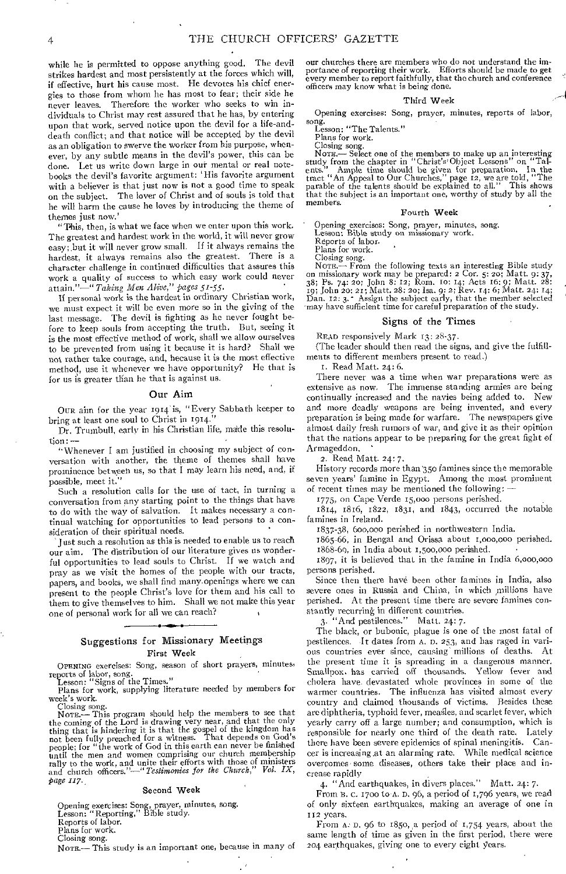while he is permitted to oppose anything good. The devil strikes hardest and most persistently at the forces which will, if effective, hurt his cause most. He devotes his chief energies to those from whom he has most to fear; their side he never leaves. Therefore the worker who seeks to win individuals to Christ may rest assured that he has, by entering upon that work, served notice upon the devil for a life-anddeath conflict; and that notice will be accepted by the devil as an obligation to swerve the worker from his purpose, whenever, by any subtle means in the devil's power, this can be done. Let us write down large in our mental or real notebooks the devil's favorite argument: 'His favorite argument with a believer is that just now is not a good time to speak on the subject. The lover of Christ and of souls is told that he will harm the cause he loves by introducing the theme of themes just now.'

"This, then, is what we face when we enter upon this work. The greatest and hardest work in the world, it will never grow easy; but it will never grow small. If it always remains the hardest, it always remains also the greatest. There is a character challenge in continued difficulties that assures this work a quality of success to which easy work could never attain."—" *Taking Men Alive," pages 51-55.* 

If personal work is the hardest in ordinary Christian work, we must expect it will be even more so in the giving of the last message. The devil is fighting as he never fought before to keep souls from accepting the truth. But, seeing it is the most effective method of work, shall we allow ourselves to be prevented from using it because it is hard? Shall we not rather take courage, and, because it is the most effective method, use it whenever we have opportunity? He that is for us is greater than he that is against us.

#### Our Aim

Oun aim for the year 1914 is, "Every Sabbath keeper to bring at least one soul to Christ in 1914.

Dr. Trumbull, early in his Christian life, made this resolution: —

"Whenever I am justified in choosing my subject of conversation with another, the theme of themes shall have prominence between us, so that I may learn his need, and, if possible, meet it."

Such a resolution calls for the use of tact, in turning a conversation from any starting point to the things that have to do with the way of salvation. It makes necessary a continual watching for opportunities to lead persons to a consideration of their spiritual needs.

Just such a resolution as this is needed to enable us to reach our aim. The distribution of our literature gives us wonderful opportunities to lead souls to Christ. If we watch and pray as we visit the homes of the people with our tracts, papers, and books, we shall find many openings where we can present to the people Christ's love for them and his call to them to give themselves to him. Shall we not make this year one of personal work for all we can reach?

#### Suggestions for Missionary Meetings First Week

OPENING exercises: Song, season of short prayers, minutes, reports of labor, song. Lesson: "Signs of the Times,"

Plans for work, supplying literature needed by members for week's work.

Closing song. NOTE.— This program should help the members to see that the coming of the Lord is drawing very near, and that the only thing that is hindering it is that the gospel of the kingdom has not been fully preached for a witness. That depends on God's people; for "the work of God in this earth can never be finished until the men and women comprising our church membership rally to the work, and unite their efforts with those of ministers and church officers."—" *Testimonies for the Church," Vol. IX, Page .t.r7.* 

Second Week

Opening exercises: Song, prayer, minutes, song. Lesson: "Reporting," Bible study. Reports of labor. Plans for work. Closing song. Norn.— This study is an important one, because in many of

our churches there are members who do not understand the importance of reporting their work. Efforts should be made to get every member to report faithfully, that the church and conference officers may know what is being done.

#### Third Week

Opening exercises: Song, prayer, minutes, reports of labor, song. Lesson: "The Talents." Plans for work.

Closing song.<br>
NOTE.— Select one of the members to make up an interesting<br>
study from the chapter in "Christ's'Object Lessons" on "Tal-<br>
ents." Ample time should be given for preparation. In the tract "An Appeal to Our Churches," page 12, we are told, "The parable of the talents should be explained to all." This shows that the subject is an important one, worthy of study by all the members.

#### Fourth Week

Opening exercises: Song, prayer, minutes, song.

Lesson: Bible study on missionary work.

Reports of labor.

Plans for work.

Closing song. NOTE.— From the following texts an interesting Bible study on missionary work may be prepared: 2 Cor. 5: 20; Matt. 9: 37, 38; Ps. 74: 20; John 8: 12; Rom. 10: 14; Acts 16: 9; Matt. 28: 19; John 20: 21; Matt. 28: 20; Isa. 9: 2; Rev. 14: 6; Matt. 24: 14; Dan. 12: 3. Assign the subject early, that the member selected may have sufficient time fo

#### Signs of the Times

READ responsively Mark 13: 28-37.

(The leader should then read the signs, and give the fulfillments to different members present to read.)

I. Read Matt. 24: 6.

There never was a time when war preparations were as extensive as now. The immense standing armies are being continually increased and the navies being added to. New and more deadLy weapons are being invented, and every preparation is being made for warfare. The newspapers give almost daily fresh rumors of war, and give it as their opinion that the nations appear to be preparing for the great fight of Armageddon.

2. Read Matt. 24:7.

History records more than'35o famines since the memorable seven years' famine in Egypt. Among the most prominent of recent times may be mentioned the following: —

1775, on Cape Verde 15,000 persons perished.

1814, 1816, 1822, 1831, and 1843, occurred the notable famines in Ireland.

1837-38, 600,000 perished in northwestern India.

1865-66, in Bengal and Orissa about 1,000,000 perished. 1868-69, in India about 1,500,000 perished.

1897, it is believed that in the famine in India 6,000,000 persons perished.

Since then there have been other famines in India, also severe ones in Russia and China, in which millions have perished. At the present time there are severe famines constantly recurring in different countries.

3. "And pestilences." Matt. 24: 7.

The black, or bubonic, plague is one of the most fatal of pestilences. -It dates from A. D. 253, and has raged in various countries ever since, causing millions of deaths. At the present time it is spreading in a dangerous manner. Smallpox, has carried off thousands. Yellow fever and cholera have devastated whole provinces in some of the warmer countries. The influenza has visited almost every country and claimed thousands of victims. Besides these are diphtheria, typhoid fever, measles, and scarlet fever, which yearly carry off a large number; and consumption, which is responsible for nearly one third of the death rate. Lately there have been severe epidemics of spinal meningitis. Cancer is increasing at an alarming rate. While medical science overcomes some diseases, others take their place and increase rapidly

4. "And earthquakes, in divers places." Matt. 24: 7.

From B. c. 1700 to A. D. 96, a period of 1,796 years, we read of only sixteen earthquakes, making an average of one in 112 years.

From A. D. 96 to 1850, a period of  $1,754$  years, about the same length of time as given in the first period, there were 204 earthquakes, giving one to every eight years.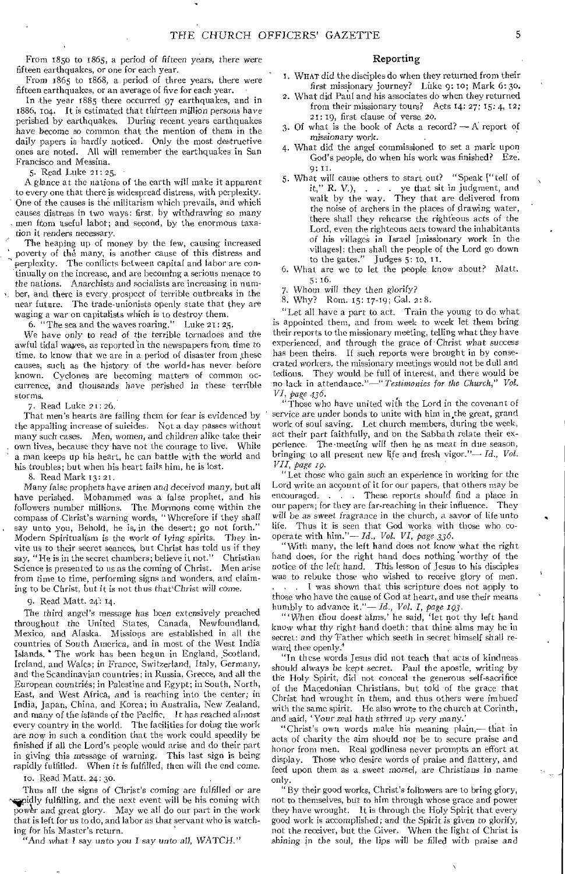From 185o to [865, a period of *fifteen years,* there were fifteen earthquakes, or one for each year.

From 1865 to 1868, a period of three years, there were fifteen earthquakes, or an average of five for each year.

In the year 1885 there occurred 97 earthquakes, and in 1886, 104. It is estimated that thirteen *million persons* have perished by earthquakes. During recent years earthquakes have become so common that the mention of them in the daily papers is hardly noticed. Only the most destructive ones are noted. All will remember the earthquakes in San Francisco and Messina.

5. Read Luke 21:25.

A glance at the nations of the earth will make it apparent to every one that there is widespread distress, with perplexity. One of the causes is the militarism which prevails, and which causes distress in two ways: first, by withdrawing so many men from useful labot; and second, by the enormous taxation it renders necessary.

The heaping up of money by the few, causing increased poverty of the many, is another cause of this distress and perplexity. The conflicts between capital and labor are continually on the increase, and are becoming a serious menace to the *nations.* Anarchists and socialists are increasing in number, and there is every, prospect of terrible outbreaks in the near future. The trade-unionists openly state that they are waging a war on capitalists which is to destroy them.

6. "The sea and the waves roaring." Luke 21: 25.

We have only to read of the terrible tornadoes and the awful tidal waves, as reported in the newspapers from time to time, to know that we are in a period of disaster from these causes, such as the history of the world-has never before known. Cyclones are becoming matters of common occurrence, and thousands have perished in these terrible storms.

7. Read Luke 21: 26.

That men's hearts are failing them for fear is evidenced by the appalling increase of suicides. Not a day passes without many such cases. Men, women, and children alike take their own lives, because they have not the courage to live. While a man keeps up his heart, he can battle with the world and his troubles; but when his heart fails him, he is lost.

8. Read Mark 13: 21.

Many false prophets have arisen and deceived many, but all have perished. Mohammed was a false prophet, and his followers number millions. The Mormons come within the compass of Christ's warning words, "Wherefore if they shall say unto you, Behold, he is, in the desert; go not forth." Modern Spiritualism is the work of lying spirits. They invite us to their secret seances, but Christ has told us if they say, "He is in the secret chambers; believe it not." Christian Science is presented to us as the coming of Christ. Men arise from time to time, performing signs and wonders, and claiming to be Christ, but it is not thus that'Christ will come.

9. Read Matt. 24: 14.

The third angel's message has been extensively preached throughout the United States, Canada, Newfoundland, Mexico, and Alaska. Missions are established in all the countries of South America, and in most of the West India Islands. The work has been begun in England, Scotland, Ireland, and Wales; in France, Switzerland, Italy, Germany, and the Scandinavian countries; in Russia, Greece, and all the European countries; in Palestine and Egypt; in South, North, East, and West Africa, and is reaching into the center; in India, Japan, China, and Korea; in Australia, New Zealand, and many of the islands of the Pacific. It has reached almost every country in the world. The facilities for doing the work are now in such a condition that the work could speedily be finished if all the Lord's people would arise and do their part in giving this message of warning. This last sign is being rapidly fulfilled. When it is fulfilled, then will the end *come.* 

to. Read Matt. 24: 30.

Thus all the signs of Christ's *coming* are fulfilled or are spidly fulfilling, and the next event will be his coming with power and great glory. May we all do our part in the work that is left for us to do, and labor as that servant who is watching for his Master's return.

"And what I say unto you I say unto all, WATCH."

#### Reporting

- I. WHAT did the disciples do when they returned from their first missionary journey? Lithe 9: to; Mark 6:30.
- 2. What did Paul and his associates do when they returned from their missionary tours? Acts 14: 27; 15: 4, 12; 21: 19, first clause of verse 20.
- 3. Of what is the book of Acts a record? —A report of missionary work.
- 4. What did the angel commissioned to set a mark upon God's people, do when his work was finished? Eze. God's people, do when his work was finished? 9: 11.
- 5. What will cause others to start out? "Speak ["tell of it," R. V.),  $\ldots$  ye that sit in judgment, and walk by the way. They that are delivered from the noise of archers in the places of drawing water, there shall they rehearse the righteous acts of the Lord, even the righteous acts toward the inhabitants of his villages in Israel [missionary work in the villages]: then shall the people of the Lord go down to the gates." Judges 5: to, 11.
- 6. What are we to let the people know about? Matt. 5:16.
- 7. Whom will they then glorify?

8. Why? Rom. 15: 17-19; Gal. 2: 8.

"Let all have a part to act. Train the young to do what is appointed them, and from week to week let them bring their reports to the missionary meeting, telling what they have experienced, and through the grace of 'Christ what success has been theirs. If such reports were brought in by consecrated workers, the missionary meetings would not be dull and tedious. They would be full of interest, and there would be no lack in attendance."—" *Testimonies for the Church," Vol. VI, page 436.* 

"Those who have united with the Lord in the covenant of service are under bonds to unite with him in the great, grand work of soul saving. Let church members, during the week, act their part faithfully, and on the Sabbath relate their experience. The-meeting will then be as meat in due *season,*  bringing to all present new life and fresh vigor."— *Id., Vol. VII, page 16.* 

"Let those who gain such an experience in working for the Lord write an account of it for our papers, that others may be encouraged.  $\therefore$  These reports should find a place in our papers; for they arc far-reaching in their influence. They will be *as* sweet fragrance in the church, a savor of life unto life. Thus it is seen that God works with those who cooperate with him."— *Id., Vol. VI, page 336.* 

"With many, the left hand does not know what the right hand does, for the right hand does nothing 'worthy of the notice *of* the *left* hand. This lesson of Jesus to his disciples was to rebuke those who wished to receive glory of men. . . . I was shown that this scripture does not apply to those who have the cause of God at heart, and use their means humbly to advance it."— *Id., Vol. I, page 163.* 

"'When thou doest alms,' he said, 'let not thy left hand know what thy right hand doeth: that thine alms may be in secret: and thy Father which seeth in secret himself shall reward thee openly.

"In these words Jesus did not teach that acts of kindness should always be kept secret. Paul the apostle, writing by the Holy Spirit, did not conceal the generous self-sacrifice of the Macedonian Christians, but told of the grace that Christ had wrought in them, and thus others were imbued with the same spirit. He also wrote to the church at Corinth, and said, ' Your zeal hath stirred up very many.'

"Christ's own words make his meaning plain,— that in acts of charity the aim should not be to secure praise and honor from men. Real godliness never prompts an effort at display. Those who desire words of praise and flattery, and feed upon them as a sweet *morsel,* are *Christians* in name only.

" By their good works, Christ's followers are to bring glory, not to themselves, bat to him through whose grace and power not to themselves, but to him through whose grace and power they have wrought. It is through the Holy Spirit that every good work is accomplished; and the Spirit *is* given to glorify, not the receiver, but the Giver. When the light of Christ is shining in the soul, the lips will be filled with praise and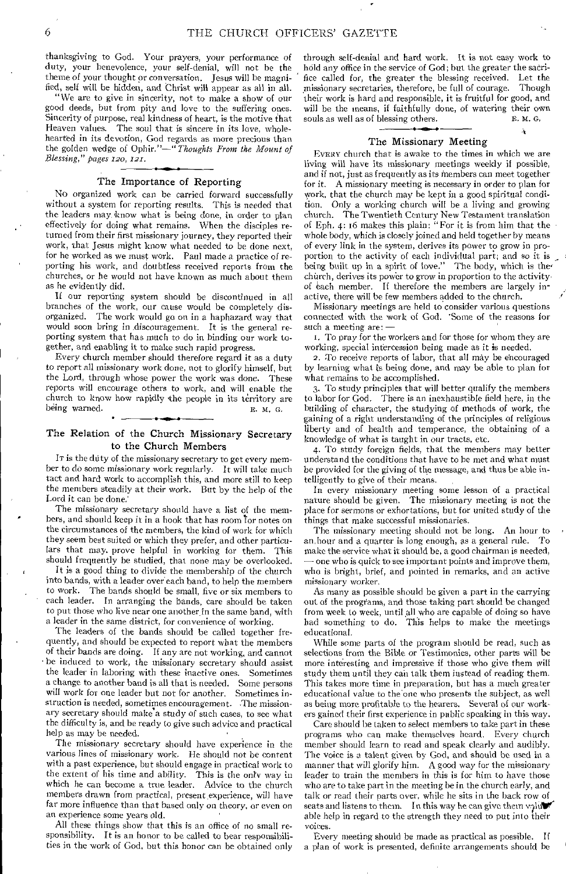thanksgiving to God. Your prayers, your performance of duty, your benevolence, your self-denial, will not be the theme of your thought or conversation. Jesus will be magnified, self will be hidden, and Christ will appear as all in all.

"We are to give in sincerity, not to make a show of our good deeds, but from pity and love to the suffering ones. Sincerity of purpose, real kindness of heart, is the motive that Heaven values. The soul that is sincere in its love, wholehearted in its devotion, God regards as more precious than the golden wedge of Ophir."—" *Thoughts From the Mount of Blessing," pages 120, 121.* 

#### The Importance of Reporting

No organized work can be carried forward successfully without a system for reporting results. This is needed that the leaders may, 'know what is being done, in order to plan effectively for doing what remains. When the disciples returned from their first missionary journey, they reported their work, that Jesus might know what needed to be done next, for he worked as we must work. Paul made a practice of reporting his work, and doubtless received reports from the churches, or he would not have known as much about them as he evidently did.

If our reporting system should be discontinued in all branches of the work, our cause would be completely disorganized. The work would go on in a haphazard way that would soon bring in discouragement. It is the general reporting system that has much to do in binding our work together, and enabling it to make such rapid progress.

Every church member should therefore regard it as a duty to report all missionary work done, not to glorify himself, but the Lord, through whose power the work was done. These reports will encourage others to work, and will enable the church to know how rapidly the people in its territory are being warned. R. M. G.

#### The Relation of the Church Missionary Secretary to the Church Members

IT is the duty of the missionary secretary to get every member to do some missionary work regularly. It will take much tact and hard work to accomplish this, and more still to keep the members steadily at their work. But by the help of the Lord it can be done.

The missionary secretary should have a list of the members, and should keep it in a hook that has room for notes on the circumstances of the members, the kind of work for which they seem best suited or which they prefer, and other particulars that may. prove helpful in working for them. This should frequently be studied, that none may be overlooked.

It is a good thing to divide the membership of the church into bands, with a leader over each band, to help the members to work. The bands should be small, five or six members to The bands should be small, five or six members to each leader. In arranging the bands, care should be taken to put those who live near one another in the same band, with a leader in the same district, for convenience of working.

The leaders of the bands should be called together frequently, and should be expected to report what the members of their bands are doing. If any are not working, and cannot • be induced *to* work, the missionary secretary should assist the leader in laboring with these inactive ones. Sometimes a change to another band is all that is needed. Some persons will work for one leader but not for another. Sometimes instruction is needed, sometimes encouragement. The missionary secretary should make a study of such cases, to see what the difficulty is, and be ready to give such advice and practical help as may be needed.

The missionary secretary should have experience in the various lines of missionary work, He should not be content with a past experience, but should engage in practical work to the extent of his time and ability. This is the only way in which he can become a true leader. Advice to the church members drawn from practical, present experience, will have far more influence than that based only on theory, or even on an experience some years old.

All these things show that this is an office of no small responsibility. It is an honor to be called to bear responsibilities in the work of God, but this honor can be obtained only

through self-denial and hard work. It is not easy work to hold any office in the service of God; but the greater the sacrifice called for, the greater the blessing received. Let the missionary secretaries, therefore, be full of courage. Though their work is hard and responsible, it is fruitful for good, and will be the means, if faithfully done, of watering their own souls as well as of blessing others. E. M. G.

#### The Missionary Meeting

t

EVERY church that is awake to the times in which we are living will have its missionary meetings weekly if possible, and if not, just as frequently as its members can meet together for it. A missionary meeting is necessary in order to plan for work, that the church may he kept in a good spiritual condition. Only a working church will be a living and growing church. The Twentieth Century New Testament translation of Eph. 4: 16 makes this plain: "For it is from him that the whole body, which is closely joined and held together by means of every link in the system, derives its power to grow in proportion to the activity of each individual part; and so it is being built up in a spirit of love." The body, which is the church, derives its power to grow in proportion to the activityof each member. If therefore the members are largely inactive, there will be few members added to the church.

Missionary meetings are held to consider various questions connected with the work of God. 'Some of the reasons for such a meeting are:

I. To pray for the workers and for those for whom they are working, special intercession being made as it is needed.

2. To receive reports of labor, that all may be encouraged by learning what is being done, and may be able to plan for what remains to be accomplished.

3. To study principles that will better qualify the members to labor for God. There is an inexhaustible field here, in the building of character, the studying of methods of work, the gaining of a right understanding of the principles of religious liberty and of health and temperance, the obtaining of a knowledge of what is taught in our tracts, etc.

4. To study foreign fields, that the members may better understand the conditions that have to be met and what must be provided for the giving of the message, and thus be able intelligently to give of their means.

In every missionary meeting some lesson of a practical nature should be given. The missionary meeting is not the place for sermons or exhortations, but for united study of the things that make successful missionaries.

The missionary meeting should not be long. An hour to an, hour and a quarter is long enough, as a general rule. To make the service what it should be, a good chairman is needed, — one who is quick to see important points and improve them, who is bright, brief, and pointed in remarks, and an active missionary worker.

As many as possible should be given a part in the carrying out of the programs, and those taking part should be changed from week to week, until all who are capable of doing so have had something to do. This helps to make the meetings educational.

While some parts of the program should be read, such as selections from the Bible or Testimonies, other parts will be more interesting and impressive if those who give them will study them until they can talk them instead of reading them. This takes more time in preparation, but has a much greater educational value to the one who presents the subject, as well as being more profitable to the hearers. Several of our workers gained their first experience in public speaking in this way.

Care should be taken to select members to take part in these programs who can make themselves heard. Every church member should learn to read and speak clearly and audibly. The voice is a talent given by God, and should be used in a manner that will glorify him. A good way for the missionary leader to train the members in this is for him to have those who are to take part in the meeting be in the church early, and talk or read their parts over, while he sits in the back row of seats and listens to them. In this way he can give them volute able help in regard to the strength they need to put into their voices.

Every meeting should be made as practical as possible. If a plan of work is presented, definite arrangements should be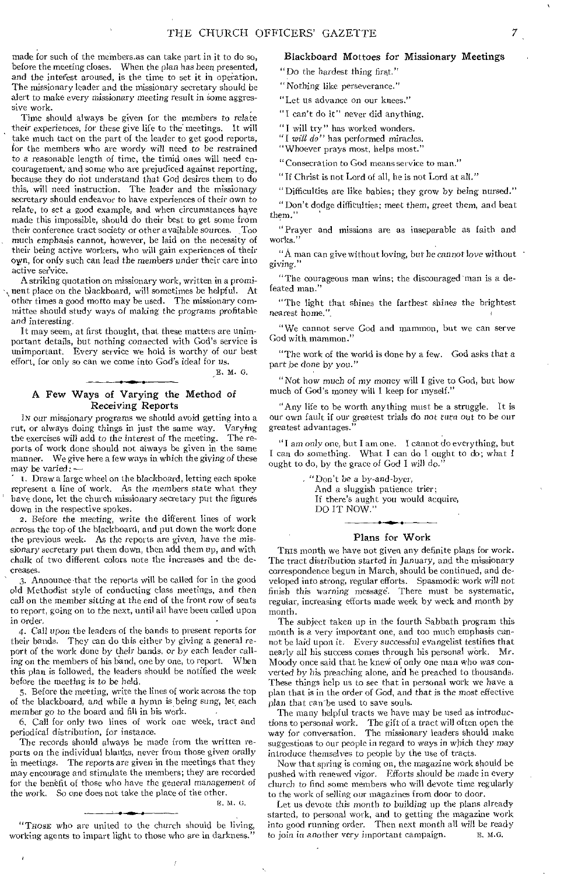made for such of the members.as can take part in it to do so, before the meeting closes. When the plan has been presented, and the interest aroused, is the time to set it in operation. The missionary leader and the missionary secretary should be alert to make every *missionary meeting* result in some aggressive work.

Time should always be given for the members to relate their experiences, for these give life to the meetings. It will take much tact on the part of the leader to get good reports, for the members who are wordy will need to be restrained to a reasonable length of time, the timid ones will need encouragement, and some who are prejudiced against reporting, because they do not understand that God desires them to do this, will need instruction. The leader and the missionary secretary should endeavor to have experiences of their own to relate, to set a good example, and when circumstances have made this impossible, should do their best to get some from their conference tract society or other available sources. Too much emphasis cannot, however, be laid on the necessity of their being active workers, who will gain experiences of their own, for only such can lead the members under their care into active service.

A striking quotation on missionary work, written in a promi nent place on the blackboard, will sometimes be helpful. At other times a good motto may be used. The missionary committee should study ways of making the programs profitable and interesting.

It may seem, at first thought, that these matters are unimportant details, but nothing *connected* with God's service is unimportant. Every service we hold is worthy of our best effort, for only so can we come into God's ideal for *us.* 

E. M. G.

#### A Few Ways of Varying the Method of Receiving Reports

IN our missionary programs we should avoid getting into a rut, or always doing things in just the same way. Varying the exercises will add to the interest of the meeting. ports of work done should not always be given in the same manner. We give here a few ways in which the giving *of* these may be varied:

t. Draw a large wheel on the blackboard, letting each spoke represent a line of work. As the members state what they have done, let the church missionary secretary put the figures down in the respective spokes.

2. Before the *meeting,* write the different lines of work across the top of the blackboard, and put down the work done the previous week. As the reports are given, have the missionary secretary put them down, then add them up, and with chalk of two different colors note the increases and the decreases.

3. Announce-that the reports will be called for in the good old Methodist style of conducting class meetings, and then call on the member sitting at the end of the front row of seats to report, going on to the next, until all have been called upon in order.

4. Call upon the leaders of the bands to present reports for their bands. They can do this either by giving a general report of the work done by their bands, or by each leader calling on the members of his band, one by one, to report. When this plan is followed, the leaders should be notified the week before the meeting is to be held.

5. Before the meeting, write the lines of work across the top of the blackboard, and while a hymn is *being sung,* let, each member go to the board and fill in his work.

6. Call for only two lines of work one week, tract and periodical distribution, for *instance.* 

The records should always be made from the written reports on the individual blanks, never from those given orally in meetings. The reports are given in the meetings that they may encourage and stimulate the members; they are recorded for the benefit of those who have the general management of the work. So one does not take the place of the other.

E. M. G.

"TnosE who are united to the church should be living, working agents to impart light to those who are in darkness."

#### Blackboard Mottoes for Missionary Meetings

"Do the hardest thing first."

"Nothing like perseverance."

"Let us advance on our knees,"

"I can't do it" never did anything.

"I will try" has worked wonders. "I *will do"* has performed miracles.

"Whoever prays most, helps most."

" Consecration to God means service to man."

" If Christ is not Lord of all, he is not Lord at all."

"Difficulties are like babies; they grow by being nursed."

"Don't dodge difficulties; meet them, greet them, and beat them."

"Prayer and missions are as inseparable as faith and works."

"A man can give without loving, but he cannot love without *giving."* 

"The courageous man wins; the discouraged man is a defeated man."

"The light that shines the farthest shines the brightest nearest home.".

"We cannot serve God and mammon, but we can serve God with, mammon."

"The work of the world is done by a few. God asks that a part be done by you."

"Not how much *of* my money will I give to God, but how much of God's money will I keep for myself."

"Any life to be worth anything must be a struggle. It is our own fault if our greatest trials do not turn out to be our greatest advantages."

"I am only one, but I am one. I cannot do everything, but I can do something. What I can do I ought to do; what I ought to do, by the grace of God I will do.

> "Don't be a by-and -byer, And a sluggish patience trier; If there's aught you would acquire, DO IT NOW."

#### Plans for Work

THIS month we have not given any definite plans for work. The tract distribution started in January, and the missionary correspondence begun in March, should be continued, and developed into strong, regular efforts. Spasmodic work will *not*  finish this warning message. There must be systematic, regular, increasing efforts made week by week and month by month.

The subject taken up in the fourth Sabbath program this month is a very important one, and too much emphasis cannot be laid upon it. Every *successful* evangelist testifies that nearly all his success comes through his personal work. Mr. Moody once said that he knew of only one man who was converted by his preaching alone, and he preached to thousands. These things help us to see that in personal work we have a plan that is in the order of God, and that *is* the most effective plan that can-be used to save souls.

The many helpful tracts we have may be used as introductions to personal work. The gift of a tract will often open the way for conversation. The missionary leaders should make suggestions to our people in regard to ways in which they may introduce themselves to people by the use of tracts.

Now that spring is coming on, the magazine work should be pushed with renewed vigor. Efforts should be made in every church to find some members who will devote time regularly to the work of selling our magazines from door to door.

Let us devote this month to building up the plans already started, to personal work, and to getting the magazine work into good running order. Then next month all will be ready to join in another very important campaign. E. M.G. to join in another very important campaign.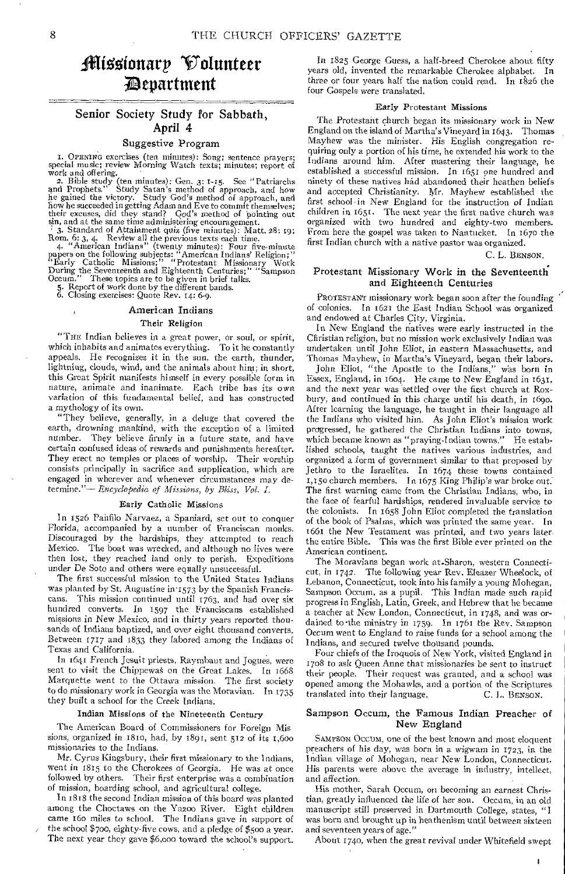# iniOionarp Volunteer ;Department

## Senior Society Study for Sabbath, April 4

#### Suggestive Program

I. OPENING exercises (ten minutes): Song; sentence prayers; special music; review Morning Watch texts; minutes; report of work and offering.

2. Bible study (ten minutes): Gen. 3: 1-15. See "Patriarchs and Prophets." Study Satan's method of approach, and how he gained the victory. Study God's method of approach, and how he succeeded in getting Adam and Eve to commit themselves; their excuses, did they stand? God's method of 'pointing out sin, and at the same time administering encouragement. 3. Standard of Attainment quiz (five minutes): Matt. 28: 19;

Rom. 6: 3, 4. Review all the previous texts each time.<br>
4. "American Indians" (twenty minutes): Four five-minute<br>
papers on the following subjects: "American Indians" Religion;"<br>
"Early Catholic Missions;" "Protestant Miss

#### American Indians

#### Their Religion

"THE Indian believes in a great power, or soul, or spirit, which inhabits and animates everything. To it he constantly appeals. He recognizes it in the sun, the earth, thunder, lightning, clouds, wind, and the animals about him; in short, this Great Spirit manifests himself in every possible form in nature, animate and inanimate. Each tribe has its own variation of this fundamental belief, and has constructed a mythology of its own.

"They believe, generally, in a deluge that covered the earth, drowning mankind, with the exception of a limited number. They believe firmly in a future state, and have certain confused ideas of rewards and punishments hereafter. They erect no temples or places of worship. Their worship consists principally in sacrifice and supplication, which are engaged in wherever and whenever circumstances may determine."— *Encyclopedia of Missions, by Bliss, Vol. 1.* 

#### Early Catholic Missions

In 1526 Pahfilo Narvaez, a Spaniard, set out to conquer Florida, accompanied by a number of Franciscan monks. Discouraged by the hardships, they attempted to reach Mexico. The boat was wrecked, and although no lives were The boat was wrecked, and although no lives were then lost, they reached land only to perish, Expeditions under De Soto and others were equally unsuccessful.

The first successful mission to the United States Indians was planted by St. Augustine in-I573 by the Spanish Franciscans. This mission continued until 1763, and had over six hundred converts. In 1597 the Franciscans established missions in New Mexico, and in thirty years reported thousands of Indians baptized, and over eight thousand converts. Between 1717 and 1833 they labored among the Indians of Texas and California.

In 1641 French Jesuit priests, Raymbaut and Jogues, were sent to visit the Chippewas on the Great Lakes. In 1668 Marquette went to the Ottawa mission. The first society to do missionary work in Georgia was the Moravian. In 1735 they built a school for the Creek Indians.

#### Indian Missions of the Nineteenth Century

The American Board of Commissioners for Foreign Mis sions, organized in 1810, had, by 1891, sent 512 of its 1,600 missionaries to the Indians.

Mr. Cyrus Kingsbury, their first missionary to the Indians, went in 1815 to the Cherokees of Georgia. He was at once followed by others. Their first enterprise was a combination of mission, boarding school, and agricultural college.

In 1818 the second Indian mission of this board was planted among the Choctaws on the Yazoo River. Eight children came 16o miles to school. The Indians gave in support of the school \$700, eighty-five cows, and a pledge of \$500 a year. The next year they gave \$6,000 toward the school's support.

In 1825 George Guess, a half-breed Cherokee about fifty years old, invented the remarkable Cherokee alphabet. In three or four years half the nation could read. In 1826 the four Gospels were translated.

#### Early Protestant Missions

The Protestant church began its missionary work in New England on the island of Martha's Vineyard in 1643. Thomas Mayhew was the minister. His English congregation requiring only a portion of his time, he extended his work to the Indians around him. After mastering their language, he established a successful mission. In 1651 one hundred and ninety of these natives had abandoned their heathen beliefs and accepted Christianity. Mr. Mayhew established the first school in New England for the instruction of Indian children in 1651. The next year the first native church was organized with two hundred and eighty-two members. From here the gospel was taken to Nantucket. In 1670 the first Indian church with a native pastor was organized.

C. L. BENSON.

#### Protestant Missionary Work in the Seventeenth and Eighteenth Centuries

PROTESTANT missionary work began soon after the founding of colonies. In 1621 the East Indian School was organized and endowed at Charles City, Virginia.

In New England the natives were early instructed in the Christian religion, but no mission work exclusively Indian was undertaken until John Eliot, in eastern Massachusetts, and Thomas Mayhew, in Martha's Vineyard, began their labors.

John Eliot, "the Apostle to the Indians," was born in Essex, England, in 16o4. He came to New England in 1631, and the next year was settled over the first church at Roxbury, and continued in this charge until his death, in 1690. After learning the language, he taught in their language all the Indians who visited him. As John Eliot's mission work progressed, he gathered the Christian Indians into towns, which became known as "praying-Indian towns." He established schools, taught the natives various industries, and organized a form of government similar to that proposed by Jethro to the Israelites. In 1674 these towns contained 1,15o church members. In 1675 King Philip's war broke out: The first warning came from the Christian Indians, who, in the face of fearful hardships, rendered invaluable service to the colonists. In 1658 John Eliot completed the translation of the book of Psalms, which was printed the same year. In 1661 the New Testament was printed, and two years later the entire Bible. This was the first Bible ever printed on the American continent.

The Moravians began work at-Sharon, western Connecticut, in 1742. The following year Rev. Eleazer Wheelock, of Lebanon, Connecticut, took into his family a young Mohegan, Sampson Occum, as a pupil. This Indian made such rapid progress in English, Latin, Greek, and Hebrew that he became a teacher at New London, Connecticut, in 1748, and was ordained to-the ministry in 1759. In 1761 the Rev. Sampson Occum went to England to raise funds for a school among the Indians, and secured twelve thousand pounds.

Four chiefs of the Iroquois of New York, visited England in 1708 to ask Queen Anne that missionaries he sent to instruct their people. Their request was granted, and a school was opened among the Mohawks, and a portion of the Scriptures translated into their language.  $C. I.$  BENSON. translated into their language.

#### Sampson Occum, the Famous Indian Preacher of New England

SAMPSON OCCUM, one of the best known and most eloquent preachers of his day, was born in a wigwam in 1723, in the Indian village of Mohegan, near New London, Connecticut. His parents were above the average in industry, intellect, and affection.

His mother, Sarah Occum, on becoming an earnest Christian, greatly influenced the life of her son. Occum, in an old manuscript still preserved in Dartmouth College, states, "I was born and brought up in heathenism until between sixteen and seventeen years of age."

About 1740, when the great revival under Whitefield swept

 $\mathbf{I}$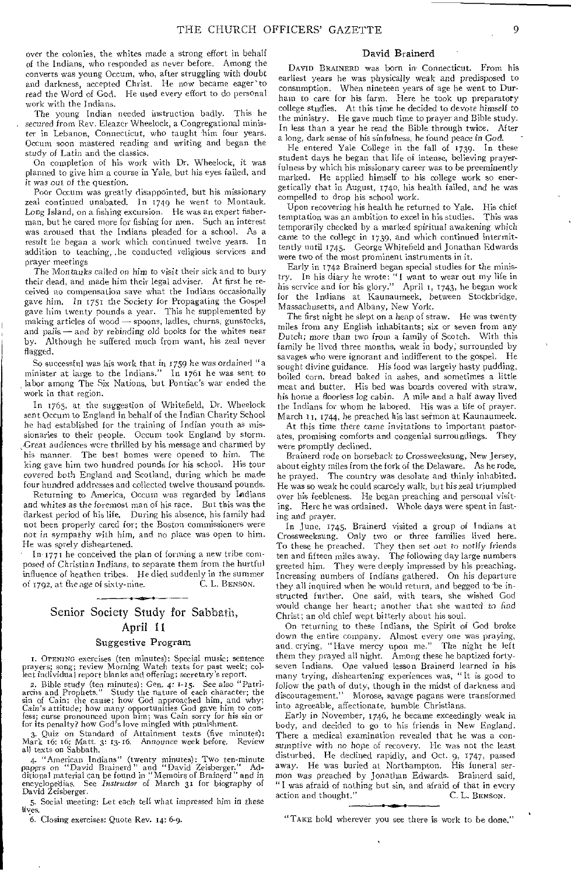over the colonies, the whites made a strong effort in behalf of the Indians, who responded as never before. Among the converts was young Occum, who, after struggling with doubt and darkness, accepted Christ. He now became eager'to read the Word of God. He used every effort to do personal work with the Indians.

The young Indian needed instruction badly. This he secured from Rev. Eleazer Wheelock, a Congregational minister in Lebanon, Connecticut, who taught -him four years. Occum soon mastered reading and writing and began the *study* of Latin and the classics.

On completion of his work with Dr. Wheelock, it was planned to give him a course in Yale, but his eyes failed, and it was out of the question.

Poor Occum was greatly disappointed, but his missionary zeal continued unabated. In 1749 he went to Montauk, Long Island, on a fishing excursion. He was an expert fisherman, but he cared more for fishing for men. Such an interest was aroused that the Indians pleaded for a school. As a result he began a work which continued twelve years. In addition to teaching, ,he conducted religious services and prayer meetings

The Montauks called on him to visit their sick and to bury their dead, and made him their legal adviser. At first he received no compensation save what the Indians occasionally gave him. In *1751* the Society for Propagating the Gospel gave him twenty pounds a year. This he supplemented by making articles of wood — spoons, ladles, churns, gunstocks, and pails—and by rebinding old books for the whites near by. Although he suffered much from want, his zeal never flagged.

So successful was his work that in 1759 he *was* ordained "a minister at large to the Indians." In 1761 he was sent to labor among The Six Nations, but Pontiac's war ended the work in that region.

In 1765, at the suggestion of Whitefield, Dr. Wheelock sent Occum to England in behalf of the Indian Charity School he had established for the training of Indian youth as missionaries to their people. Occum took England by storm. Great audiences were thrilled by his message and charmed by his manner. The best homes were opened to him. The his manner. The best homes were opened to him. king gave him two hundred pounds for his school. His tour *covered* both England and Scotland, during which he made four hundred addresses and collected twelve thousand pounds.

Returning to America, Occum was regarded by Indians and whites *as* the foremost man of his race. But this was the darkest period of his life. During his absence, his family had not been properly cared for; the Boston commissioners were not *in* sympathy with him, and no place was open to him. He was sprely disheartened.

In  $1777$  he conceived the plan of forming a new tribe composed of *Christian* Indians, to separate them from the hurtful influence of heathen tribes. He died suddenly in the summer of  $1702$ , at the age of sixty-nine. C. L. BENSON. of  $1792$ , at the age of sixty-nine.

## Senior Society Study for Sabbath, April 11

## Suggestive Program

I. OPENING exercises (ten minutes): Special music; sentence prayers; song; review Morning Watch texts for past week; col-lect individual report blanks and offering; secretary's report.

2. Bible study (ten minutes): Gen. 4: 1-75. See also "Patri-<br>arcis and Prophets." Study the nature of each character; the<br>sin of Cain; the cause; how God approached him, and why;<br>Cain's attitude; how many opportunities God

3. Quiz on Standard of Attainment texts (five minutes): Mark 16: 16; Matt. 3: 13-16, Announce week before. Review all texts on Sabbath.

4. "American Indians" (twenty minutes): Two ten-minute papers on "David Brainerd" and "David Zeisberger." Additional material can he found in "Memoirs of Brainerd" and in encyclopedias. See *Instructor* of March 31 for biography of David Zeisberger.

5. Social meeting: Let each tell what impressed him in these lives.

6. Closing exercises: Quote Rev. 14: 6-9.

#### David Brainerd

DAVID BRAINERD was born in Connecticut. From his earliest years he was physically weak and predisposed to consumption. When nineteen years of age he went to Durham to care for his farm. Here he took up preparatory college studies. At this time he decided to devote himself to the ministry. He gave much time to prayer and Bible study. In less than a year he read the Bible through twice. After a long, dark sense of his sinfulness, he found peace *in* God. '

He entered Yale College in the fall of 1739. In these student days he began that life of intense, believing prayerfulness by which his missionary career was to be preeminently marked. He applied himself to his college work so energetically that in August, 1740, his health failed, and he was compelled to drop his school work.

Upon recovering his health he returned to Yale. His chief temptation was an ambition to excel in his studies. temporarily checked by a marked spiritual awakening which came to the college in 1739, and which continued intermittently until 1745. George Whitefield and Jonathan Edwards were two of the most prominent instruments in it.

Early in 1742 Brainerd began special studies for the ministry. In his diary he wrote: "I want to wear out my life in his service and for his glory." April 1, 1743, he began work for the Indians at Kaunaumeek, between Stockbridge, Massachusetts, and Albany, New York.

The first night he slept on a heap of straw. He was twenty miles from any English inhabitants; six or seven from any Dutch; more than two from a family of Scotch. With this family he lived three months, weak in body; surrounded by savages who were ignorant and indifferent to the gospel. He sought divine guidance. His food was largely hasty pudding, boiled corn, bread baked in ashes, and sometimes a little meat and butter. His bed was boards covered with straw, his home a floorless log cabin. A mile and a half away lived the Indians for whom he labored. His was a life of prayer. March 11, 1744, he preached his last sermon at Kaunaumeek.

At this time there came invitations to important pastorates, promising comforts and congenial surroundings. They were promptly declined.

Brainerd rode on horseback to Crossweeksung, New Jersey, about eighty miles from the fork of the Delaware. As he rode, he prayed. The country was desolate and thinly inhabited. He was so weak he could scarcely walk, but his zeal triumphed over his feebleness. He began preaching and personal visiting. Here he was ordained. Whole days were spent in fasting and prayer.

In June, 1745, Brainerd visited a group of Indians at Crossweeksung. Only two or three families lived here. To these he preached. They then set out to *notify* friends ten and fifteen miles away. The following day large numbers greeted him. They were deeply impressed by his preaching. Increasing numbers of Indians gathered. On his departure they all inquired when he would return, and begged to be instructed further. One said, with tears, she wished God would change her heart; another that she wanted to find Christ; an old chief wept bitterly about his soul.

On returning to these Indians, the Spirit of God broke down the entire company. Almost every one was praying, and. crying, "Have mercy upon me." The night he left them they prayed all night. Among these he baptized fortyseven Indians. One valued lesson Brainerd learned in his many trying, disheartening experiences was, "It is good to follow the path of duty, though in the midst of darkness and discouragement." Morose, savage pagans were transformed into agreeable, affectionate, humble Christians.

Early in November, 1746, he became exceedingly weak in body, and decided to go to his friends in New England. There a medical examination revealed that he was a consumptive with no hope of recovery. He was not the least disturbed. He declined rapidly, and Oct. 9, 1747, passed away. He was buried at Northampton. His funeral sermon was preached by Jonathan Edwards. Brainerd said, "I was afraid of nothing but sin, and afraid of that in every action and thought."

"TAKE hold wherever you see there is work to be done."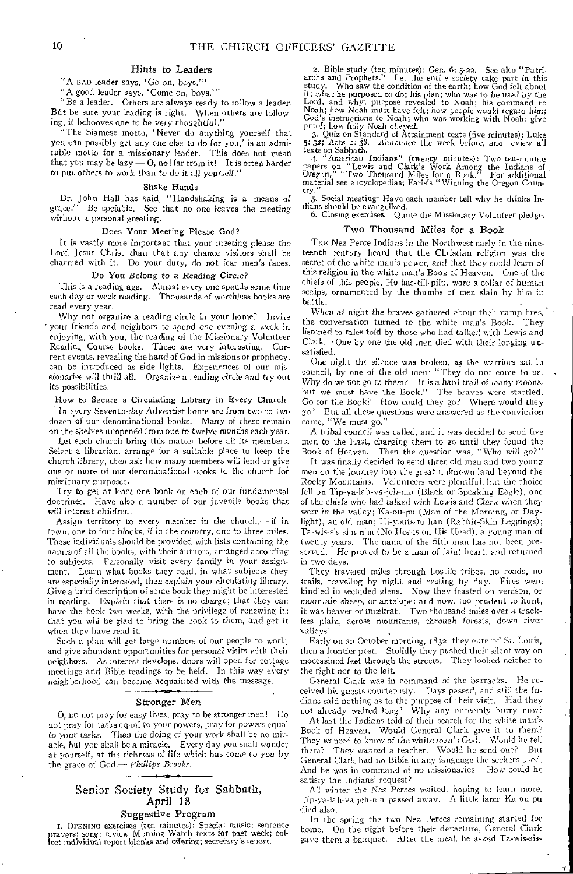#### *Hints* to Leaders

"A BAD leader says, 'Go on, boys?"

"A good leader says, 'Come on, boys.'"

"Be a leader. Others are always ready to follow a leader. But be sure your leading is right. When others are following, it behooves one to be very thoughtful."

"The Siamese motto, 'Never do anything yourself that you can possibly get any one else to do for you,' is an admirable motto for a missionary leader. This does not mean that you may be lazy  $-0$ , no! far from it! It is often harder **to** put others to work *than to do* it all *yourself."* 

#### **Shake Hands**

**Dr.** John Hall has said, "Handshaking is a means of grace." Be spciable. See that no one leaves the meeting without a personal greeting.

#### **Does Your Meeting Please God?**

**ft** is vastly more important that your meeting please the Lord Jesus Christ than that any chance visitors shall be charmed with it. Do your duty, do not fear men's faces.

#### Do **You Belong to a Reading Circle?**

This is a reading age. Almost every one spends some time each day or week reading. Thousands of worthless books are read every year.

Why not organize a reading circle in your home? Invite ' your friends and neighbors to spend *one evening* a week in enjoying, with you, the reading of the Missionary Volunteer Reading Course books. These are very interesting. Current events, revealing the hand of God in missions or prophecy, can be introduced as side lights. Experiences of our missionaries will thrill all. Organize a reading circle and try out its possibilities.

#### **How to Secure a Circulating Library in Every Church**

**in** every Seventh-clay Adventist home are from two to two dozen of our denominational books. Many of these remain on the shelves unopened from one to twelve months each year.

Let each church bring this matter before all its members. Select a librarian, arrange for a suitable place to keep the *church* library, then ask how many members will lend or give one or more of our denominational books to the church for missionary purposes.

Try to get at least one book on each of our fundamental doctrines. Have also a number of our juvenile books that will interest children.

Assign territory to every member in the church,— if in town, one to four blocks, if in the country, one to three miles. These individuals should be provided with lists containing the names of all the books, with their authors, arranged according to subjects. Personally visit every family in your assignment. Learn what books they read, in what subjects they are especially *interested,* then explain your circulating library. -Give a brief description of some book they might be interested in reading. Explain that there is no charge; that they can have the book two weeks, with the privilege of renewing it; that you will be glad to bring the book to them, and get it when they have read it.

Such a plan will get large numbers of our people to work, and give abundant opportunities for personal *visits* with their neighbors. As interest develops, doors will open for cottage meetings and Bible readings to be held. In this way every neighborhood can become acquainted with the message.

#### Stronger Men

0, DO not pray for easy lives, pray to be stronger men! Do not pray for tasks equal to your powers, pray for powers equal to your tasks. Then the doing of your work shall be no miracle, but you shall be a miracle. Every day you shall wonder at yourself, at the richness of life which has come to you by the grace of God.— *Phillips Brooks.* 

## Senior Society Study for Sabbath, April 18

## Suggestive Program

I. OPENING exercises (ten minutes): Special music; sentence prayers; song; review Morning Watch texts for past week; collect **individual** report blanks and offering; secretary's report.

2. Bible study (ten minutes): Gen. 6: 3-22. See also "Patriarchs and Prophets." Let the entire society take part in this study. Who saw the condition of the earth; how God felt about it; what he purposed to do; his plan; who was to be used by the Lord, and why; purpose revealed to Noah; his command to Noah; how Noah must have felt; how people would regard him; God's instructions to Noah; who was working with Noah; give proof; how fully Noah obeyed.

5: 3. Quiz on Standard of Attainment texts (five minutes): Luke<br>5: 32; Acts 2: 38. Announce the week before, and review all **5:** 32; Acts *2:* 38. Announce the week before, and review all texts on Sabbath.

4. "American Indians" (twenty minutes): Two ten-minute papers on "Lewis and Clark's Work Among the Indians of Oregon," "Two Thousand Miles for a Book." For additional material see encyclopedias; Faris's "Winning the Oregon Coun-try."

5, Social meeting: Have each member tell why he thinks Indians should be evangelized.

#### 6. Closing exercises. Quote the Missionary Volunteer pledge. Two Thousand Miles for a Book

Tux *Nez* Perce Indians in the Northwest early in the nineteenth century heard that the Christian religion was the secret of the white man's power, *and* that they could learn of this religion in the white man's Book of Heaven. One of the chiefs of this people, Ho-has-till-pilp, wore a collar of human scalps, ornamented by the thumbs of men slain by him in battle.

When at night the braves gathered about their camp fires, the conversation turned to the white man's Book. They listened to tales told by those who had talked with Lewis and Clark. One by one the old men died with their longing unsatisfied.

One night the silence was broken, as the warriors sat in council, by one of the old men' "They do not come to us. Why do we not go to them? it is a hard *trail of* many moons, but we must have the Book." The braves were startled. Go for the Book? How could they go? Where would they go? But all these questions were answered as the conviction came, "We must go."

A tribal council was called, and it was decided to send five men to the East, charging them to go until they found the Book of Heaven. Then the question was, "Who *will go?"* 

It was finally decided to send three old men and two young men on the journey into the great unknown land beyond the Rocky Mountains. Volunteers were plentiful, but the choice fell on Tip-ya-lah-va-jeh-nin (Black or Speaking Eagle), one of the chiefs who had talked with Lewis and Clark when they were in the valley; Ka-ou-pu (Man of the Morning, or Daylight), an old man; Hi-youts-to-han (Rabbit-Skin Leggings); Ta-wis-sis-sim-nim (No Horns on His Head), a young man of twenty years. The name of the fifth man has not been preserved. He proved to be a man *of* faint heart, and returned in two days.

They traveled miles through hostile tribes, no roads, no trails, traveling by night and resting by day. Fires were kindled in secluded glens. Now they feasted on venison, or mountain sheep, or antelope; and now, too prudent to hunt, it was beaver or muskrat. Two thousand miles over a trackless plain, across mountains, through *forests,* down river valleys!

Early on an October morning, I 832 , they entered St. Louis, then a frontier post. Stolidly they pushed their silent way on moccasined feet through the streets. They looked neither to the right nor to the left.

General Clark was in command of the barracks. He received his guests courteously. Days passed, and still the Indians said nothing as to the purpose of their visit. Had they not already waited long' Why any unseemly hurry now?

At last the Indians told of their search for the white man's Book of Heaven, Would General Clark give it to them? They wanted to know of the white *man's* God. Would be tell them? They wanted a teacher. Would he send one? But General Clark had no Bible in any language the seekers used. And he was in command of no missionaries, How could he satisfy the Indians' request?

All *winter* the *Nez* Perces waited, hoping to learn more. Tip-ya-lah-va-jeh-nin passed away. A little later Ka-ou-pu died also.

In the spring the two Nez Perces remaining started for home. On the night before their departure, General Clark gave them a banquet. After the meal, he asked Ta-wis-sis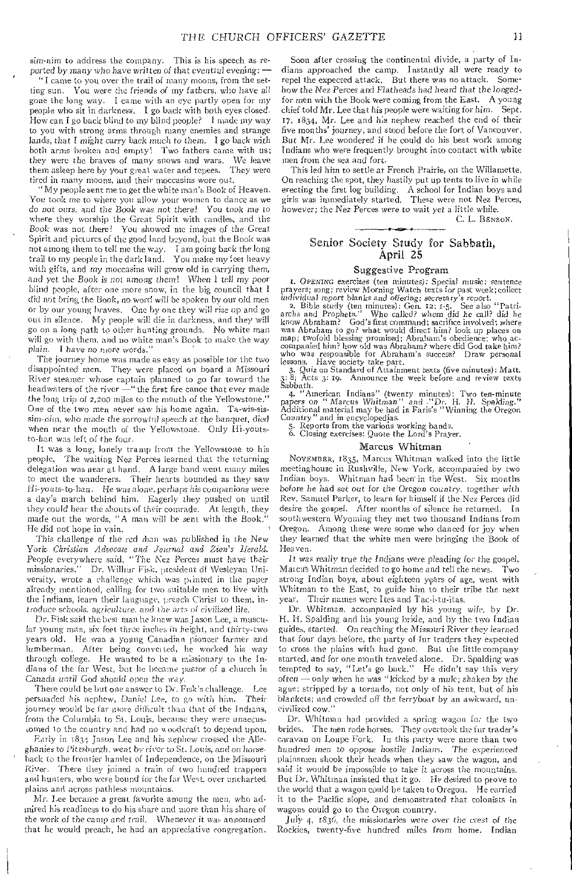sim-nim to address the company. This is his speech as reported by many who have written of that eventiul evening: -

" I came to you over the trail of many moons, from the setting sun. You were the friends of my fathers, who have all gone the long way. I came with an eye partly open for my people who sit in darkness. I go back with both eyes closed. How can I go back blind to my blind people? I made my way to you with strong arms through many enemies and strange lands, that I might carry back much to them. I go back with both arms broken and emptyl. Two fathers came with us; they were the braves of many snows and wars. We leave them asleep here by your great water and tepees. They were them asleep here by your great water and tepees. tired in many moons, and their moccasins wore out.

" My people sent me to get the white man's Book of Heaven. You took me to where you allow your women to dance as we do not ours, and the Book was not there! You took me to where they worship the Great Spirit with candles, and the Book was not there! You showed me images of the Great Spirit and pictures of the good land beyond, but the Book was not among them to tell me the way. I am going back the long trail to my people in the dark land. You make my feet heavy with gifts, and my moccasins will grow old in carrying them. and yet the Book is not among them! When 1 tell my poor blind people, after one more snow, in the big council that I did not bring the Book, no word will be spoken by our old men or by our young braves. One by one they will rise up and go out in silence. My people will die in darkness, and they will go on a long path to other hunting grounds. No white man will go with them, and no white man's Book to make the way plain. I have no more words."

The journey home was made as easy as possible tor the two disappointed men. They were placed on board a Missouri River steamer whose captain planned to go far toward the headwaters of the river —"the first fire canoe that ever made the long trip of **2,200** miles to the mouth of the Yellowstone." One of the two men never saw his home again. Ta-wis-sissim-nim, who made the sorrowinl speech at the banquet, died when near the mouth of the Yellowstone. Only Hi-youtsto-han was left of the four.

It was a long, lonely tramp from the Yellowstone to his people. The waiting Nez Perces learned that the returning delegation was near at hand. A large band went many miles to meet the wanderers. Their hearts bounded as they saw Hi-youts-to-han. He was alone, perhaps his companions were a clay's march behind him. Eagerly they pushed on until they could hear the shouts of their comrade. At length, they made out the words, "A man will be sent with 'the Book." He did not hope in vain.

This challenge of the red than was published in the New York• Christian Advocate and Journal and Zion's Herald. People everywhere said, "The Nez Perces must have their missionaries." Dr. Wilbur Fisk, president 6f Wesleyan University, wrote a challenge which was printed in the paper already mentioned, calling for two suitable men to live with the Indians, learn their language, preach Christ to them, introduce schools, agriculture, and the arts of civilized life.

Dr. Fisk said the best man he knew was Jason Lee, a muscular young man, six feet three inches in height, and thirty-two years old. He was a young Canadian pioneer farmer and lumberman. After being converted, he worked his way through college. He wanted to be a missionary to the Indians of the far West, but he becaine pastor of **a** church in Canada until God should open the way.

There could be but one answer to Dr. Fisk's challenge. Lee<br>rsuaded his nephew, Daniel Lee, to go with him. Their persuaded his nephew, Daniel Lee, to go with him. journey would be far more difficult than that of the Indians, from the Columbia to St. Louis, because they were unaccustomed to the country and had no woodcraft to depend upon.

Early in 1834 Jason Lee and his nephew crossed the Alleghenies to Pittsburgh, went by river to St. Louis, and on horseback to the frontier hamlet of Independence, on the Missouri River. There they joined a train of two hundred trappers and hunters, who were bound for the far West. over uncharted plains and across pathless mountains.

Mr. Lee became a great favorite among the men, who admired his readiness to do his share and more than his share of the work of the camp and trail. Whenever it was announced that he would preach, he had an appreciative congregation.

Soon after crossing the continental divide, a party of Indians approached the camp. Instantly all were ready to repel the expected attack. But there was no attack. Somehow the Nez Perces and Flatheads had heard that the longedfor men with the Book were coming from the East. A young chief told Mr. Lee that his people were waiting for him. Sept. 17, 1834, Mr. Lee and his nephew reached the end of their five months' journey, and stood before the fort of Vancouver. But Mr. Lee wondered if he could do his best work among Indians who were frequently brought into contact with white men from the sea and fort.

This led him to settle at French Prairie, on the Willamette. On reaching the spot, they hastily put up tents to live in while erecting the first log building. A school for Indian boys and girls was immediately started. These were not Nez Perces, however; the Nez Perces were to wait yet a little while.

C. L. **BENSON.** 

## Senior Society Study for Sabbath, April 25

#### **Suggestive Program**

t. OPENING exercises (ten minutes): Special music; sentence

prayers; song; review Morning Watch texts for past week; collect<br>individual report blanks and offering; secretary's report.<br>2. Bible study (ten minutes): Gen. 12: 1-5. See also "Patri-<br>archs and Prophets." Who called? whom map; twofold blessing promised; Abraham's obedience; who accompanied him? how old was Abraham? where did God take him? who was responsible for Abraham's success? Draw personal

lessons. Have society take part.<br>
3. Quiz on Standard of Attainment texts (five minutes): Matt.<br>
3: 8; Acts 3: 19. Announce the week before and review texts<br>
Sabbath.<br>
4. "American Indians" (twenty minutes): Two ten-minute

Country" and in encyclopedias. 3. Reports from the various working bands.

**6.** Closing exercises: Quote the Lord's Prayer.

#### **Marcus Whitman**

NOVEMBER, 1835, Marcus Whitman walked into the little meetinghouse in Rushville, New York, accompanied by two Indian boys. Whitman had been' in the West. Six months before he had set out for the Oregon country. together with Rev. Samuel Parker, to learn for himself if the Nez Perces did desire the gospel. After months of silence he returned. In southwestern Wyoming they met two thousand Indians from Oregon. Among these were some who danced for joy when they learned that the white men were bringing the Book of Heaven.

It was really true the Indians were pleading for the gospel. Marche Whitman decided to go home **and tell the** news. Two strong Indian boys, about eighteen years of age, went with Whitman to. **the** East, to guide him to **their tribe the** next year. Their names were Ites and Tac-i-tu-itas.

Dr. Whitman. accompanied by his young wife, by Dr. H. **H.** Spalding and his young bride, and by the two Indian guides, started. On reaching the Missouri River they learned that four days before, the party of fur traders they expected to cross the plains with had gone. But the little company started, and for one month traveled alone. Dr. Spalding was tempted to say, "Let's go back." He didn't say this very often — only when he was "kicked by a mule; shaken by the ague; stripped by a tornado, not only of his tent, but of his blankets; and crowded off the ferryboat by an awkward, uncivilized cow."

Dr. Whitman had provided a spring wagon lot the two brides. The men rode horses. They overtook the fur trader's caravan on Loupe Fork. In this party were more than two hundred men to oppose hostile Indians. The experienced plainsmen shook their heads when they saw the wagon, and said it would be impossible to take it across the mountains. But Dr. Whitman insisted that it go. He desired to prove to the world that a wagon could be taken to Oregon. He carried it to the Pacific slope, and demonstrated that colonists in wagons could go to the Oregon country.

July 4, r836, the missionaries were over the crest of the Rockies, twenty-five hundred miles from home. Indian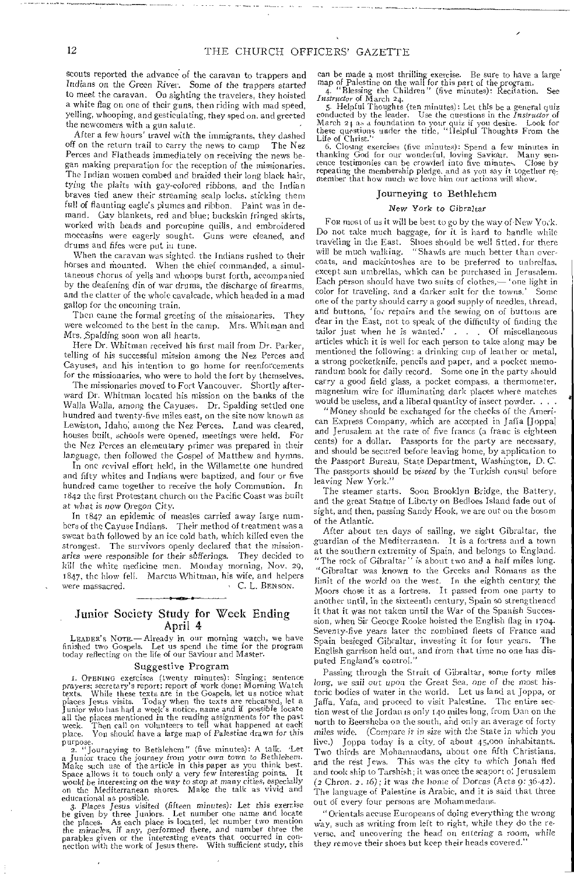scouts reported the advance of the caravan to trappers and Indians on the Green River. Some of the trappers started to meet the caravan. On sighting the travelers, they hoisted a white flag on one of their guns, then riding with mad speed, yelling, whooping, and gesticulating, they sped on. and greeted the newcomers with a gun salute.

After a few hours' travel with the immigrants. they dashed off on the return trail to carry the news to camp The Nez Perces and Flatheads immediately on receiving the news began making preparation for the reception of the missionaries. The Indian women combed and braided their long black hair, tying the plaits with gay-colored ribbons, and the Indian braves tied anew their streaming scalp locks, sticking them full of flaunting eagle's plumes and ribbon. Paint was in demand. Gay blankets, red and blue; buckskin fringed skirts, worked with beads and porcupine quills, and embroidered moccasins were eagerly sought. Guns were cleaned, and drums and fifes were put in tune.

When the caravan **was** sighted. the Indians rushed to their horses and mounted. When the chief commanded, a simultaneous chorus of yells and whoops burst forth, accompanied by the deafening din of war drums, the discharge of firearms, and the clatter of the whole cavalcade, which headed in a mad gallop for the oncoming train.

Then came the formal greeting of the missionaries. They were welcomed to the best in the camp. Mrs. Whitman and Mrs..Spalding soon won all hearts.

Here Dr. Whitman received his first mail from Dr. Parker, telling of his successful mission among the Nez Perces and Cayuses, and his intention to go home for reenforcements for the missionaries, who were to hold the fort by themselves.

The missionaries moved to Fort Vancouver. Shortly afterward Dr. Whitman located his mission on the banks of the Walla Walla, among the Cayuses. Dr. Spalding settled one hundred and twenty-five miles east, on the site now known as Lewiston, Idaho; among the Nez Perces. Land was cleared. houses built, schools were opened, meetings were held. For the Nez Perces an elementary primer was prepared in their language, then followed the Gospel of Matthew and hymns.

In one revival effort held, in the Willamette one hundred and fifty whites and Indians were baptized, and four or five hundred came together to receive the holy Communion. In 1842 the first Protestant church on the Pacific Coast was built at what is now Oregon City.

In 1847 an epidemic of measles carried away large numbers of the Cayuse Indians. Their method of treatment was a sweat bath followed by an ice cold bath, which killed even the strongest. The survivors openly declared that the missionaries were responsible for their sufferings. They decided to kill the white medicine men. Monday morning, Nov. **29.**  1847. the blow fell. Marcus Whitman, his wife, and helpers were massacred. **• C. L. BENSON.** 

## **Junior Society Study for Week Ending April 4**

**LEADER'S** Nom.— Already in our morning watch, we have finished **two Gospels. Let us spend the time** for **the prog**ram **today reflecting on the** life of our Saviour and Master.

#### Suggestive Program

**I. OPENING exercises (twenty minutes)**: Singing; sentence prayers; secretary's report; report of work done; Morning Watch texts. While these texts are in the Gospels, let us notice what **places Jesus visits. Today when the texts are rehearsed, let a Junior who has had a week s notice, name and if possible** locate all the places mentioned in **the reading assignments for the past week. Then call on volunteers to tell what happened at each place. You should** have a **large map of Palestine drawn for this** 

purpose.<br> **2.** "Journeying to Bethlehem" (five minutes): A talk. Let **a Junior trace the journey firm your own town to Bethlehem.**  Make such use **of the article in this paper as you think best.**  Space allows it to touch only a very few interesting points. It **would be interesting on the way to stop at many cities, especially on the Mediterranean shores. Make the talk as vivid and**  educational as possible.

3. Places **Jesus visited** (fifteen minutes): **Let this exercise be given by three Juniors. Let number one name and locate**  the places. As each **place is located, let number two mention the miracles,** if **any, performed there, and number three the parables given or the interesting events that occurred in** connection **with the work of Jesus there. With sufficient study, this**  **can** be made a most thrilling exercise. Be sure to have a large map **of Palestine on the wall for this part of the program.**  4. "Blessing **the Children" (five minutes): Recitation. See** 

Instructor **of March 24.**  5. Helpful Thoughts (ten minutes): Let this be a general quiz<br>conducted by the leader. Use the questions in the *Instructor* of<br>March 24 as a foundation to your quiz if you desire. Look for **these questions under the title. "Ilelpful Thoughts From the Life of Christ."** 

**6. Closing exercises (five minutes): Spend a few minutes in thanking God for our wonderful, loving Saviour. Many sell**rence testimonies can be crowded into five minutes. repeating the membership pledge, and as you say it together re**member that how much we love him our actions will show.** 

#### Journeying to Bethlehem

#### New **York to Gibraltar**

For most of us it will be best to go by the way of New York. Do not take much baggage, for it is hard to handle while traveling in the East. Shoes should be well fitted. for there will be much walking. "Shawls are much better than overcoats, and **mackintoshes are to be preferred to** unbrellat except sun umbrellas, which can be purchased in Jerusalem. Each person should have two suits of clothes,— 'one light in color for traveling, and a darker suit for the towns.' one of **the party** should carry a good supply of needles, thread. and buttons, 'for repairs and the sewing on of buttons are dear in the East, not to speak of the difficulty of **finding** the tailor just when he is wanted.' . . . Of miscellaneous tailor just when he is wanted.'  $\ldots$  Of miscellaneous articles which it is well for each person to take along may be mentioned the following: a drinking cup of leather or metal, a strong pocketknife, pencils and paper, and a pocket memorandum book for daily record. Some one in the party should carry a good field glass, a pocket compass, a thermometer, magnesium wire for illuminating dark places where matches would be useless, and a liberal quantity of insect powder. . . .

"Money should be exchanged for the checks of the American Express Company, which are accepted in Jaffa Uoppal and Jerusalem at the rate of five francs (a franc is eighteen cents) for a dollar. Passports for the party are necessary, and should be secured before leaving home, by application to the Passport Bureau, State Department, Washington, D. C. The passports should be viseed by the Turkish consul before leaving New York."

**a** 

The steamer starts. Soon Brooklyn Bridge, the Battery, and **the great** Statue of Liberty on Bedloes Island fade out of sight, and then, passing Sandy Hook, we are out on the bosom of the Atlantic.

After about ten days of sailing, we sight Gibraltar, the .guardian of the Mediterranean. It is a fortress and a town at the southern extremity of Spain, and belongs to England. "The rock of Gibraltar" is about two and a half miles long. "Gibraltar was known to the Greeks and Romans as the limit of the world on the west. In the eighth century. the Moors chose it as a fortress. It passed from one party to another until, in the sixteenth century, Spain so strengthened it that it was not taken until the War of the Spanish Succession, when Sir George Rooke hoisted the English flag in 1704. Seventy-five years later the combined fleets of France and<br>Spain besieged Gibraltar, investing it for four years. The Spain besieged Gibraltar, investing it for four years. **English garrison** held out, and from that time no one has disputed England's control."

Passing through the Strait of Gibraltar, some forty miles long, we sail out upon the Great Sea. one of the most historic bodies of water in the world. Let us land at Joppa, or Jaffa, Yafa, and proceed to visit Palestine. The entire seetion west of the Jordan is only 140 miles long, from Dan on the north to Beersheba on the south, and only an average of forty miles wide, (Compare it in size with the State in which you live.) Ioppa today is a city of about  $45,000$  inhabitants. Joppa today is a city of about 45,000 inhabitants. Two thirds are Mohammedans, about one fifth Christians, and the rest Jews. This was the city to which Jonah fled and took ship to Tarshish; it was once the seaport o: Jerusalem (2 Chron. **2. IQ; it** was the home of Dorcas (Acts 9:36-42). The language of Palestine is Arabic, and it is said that three out of every four persons are Mohammedans.

"Orientals accuse Europeans of doing everything the wrong Way, such as writing from left to right, while they do the re. verse, and uncovering the head on entering a room, **while**  they **remove** their shoes but keep their heads covered."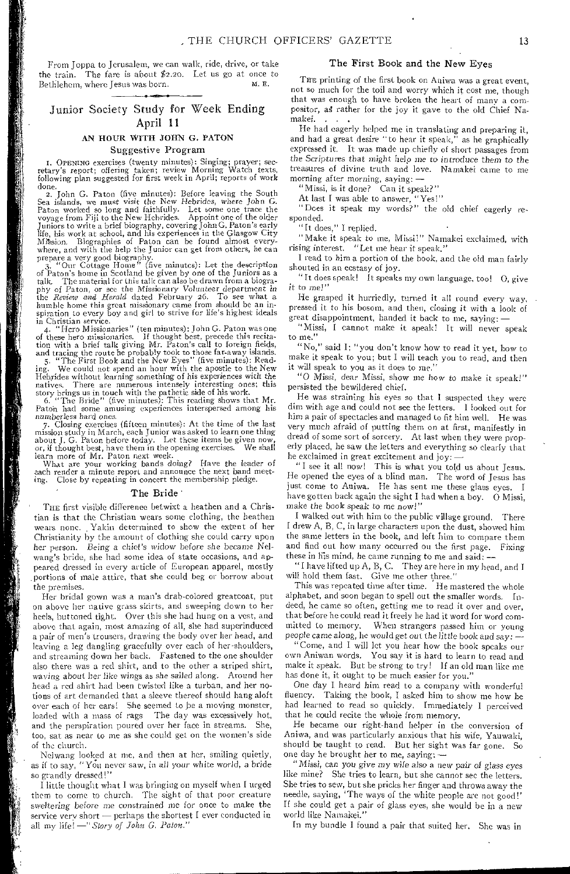From Joppa to Jerusalem, we can walk, ride, drive, or take the train. The fare is about \$2.20. Let us go at once to Bethlehem, where Jesus was born. M. E.

## Junior Society Study for Week Ending April 11 AN HOUR WITH JOHN G. PATON

## Suggestive Program

I. OPENING exercises (twenty minutes): Singing; prayer; sec-retary's report; offering taken; review Morning Watch texts, following plan suggested for first week in April; reports of work

done. 2. John G. Paton (five minutes): Before leaving the South Sea islands, we must visit the *New Hebrides, where* John *G.*  Paton worked so long and faithfully. Let some one trace the voyage from Fiji to the New Hebrides. Appoint one of the older Juniors to write a brief biography, covering John G. Paton's early life, his work at school, and his experiences in the Glasgow City Mission. Biographies of Paton can be found almost every-<br>where, and with the help the Junior can get from others, he can where, and with the help the Junior can get from others, he can

prepare a very good biography.<br>3. "Our Cottage Home" (five minutes): Let the description<br>of Paton's home in Scotland be given by one of the Juniors as a<br>talk. The material for this talk can also be drawn from a biogra-<br>tal humble home this great missionary came from should be an inspiration to every boy and girl to strive for life's highest ideals in Christian service.

4. "Hero Missionaries" (ten minutes): John G. Paton was one<br>of these hero missionaries. If thought best, precede this recita-<br>tion with a brief talk giving Mr. Paton's call to foreign fields,<br>and tracing the route he proba

5. "The First Book and the New Eyes" (five minutes): Read-ing. We could not spend an hour with the apostle to the New Heb,rides without learning something of his experiences with the natives. There are numerous intensely interesting ones; this story brings us in touch with the pathetic side of his work. 6. "The Bride" (five minutes): This reading shows that Mr.

Paton had some amusing experiences interspersed among his *numberless* hard *ones.* 

7. Closing exercises (fifteen minutes): At the time of the last mission study in March, each Junior was asked to learn one thing about J. G. Paton before today. Let these items be given now, or, if thought best, have them in the opening exercises. We shall learn more of Mr. Paton next week. What are your working bands doing? Have the leader of

each render a minute report and announce the next band meet-<br>ing. Close by repeating in concert the membership pledge. Close by repeating in concert the membership pledge.

#### The Bride'

THE first visible difference betwixt a heathen and a Christian is that the Christian wears some clothing, the heathen wears none. Yakin determined to show the extent of her Christianity by the amount of clothing she could carry upon her person. *Being* a chief's widow before she became Nelwang's bride, she had some idea of state occasions, and appeared dressed in every article of European apparel, mostly portions of male attire, that she could beg or borrow about the premises.

Her bridal gown was a man's drab-colored greatcoat, put on above her native grass skirts, and sweeping down to her heels, buttoned tight. Over this she had hung on a vest, and above that again, most amazing of all, she had superinduced a pair of men's trousers, drawing the body over her head, and leaving a leg dangling gracefully over each of her-shoulders, and streaming down her back. Fastened to the one shoulder also there was a red shirt, and to the other a striped shirt, waving about her like wings *as* she sailed along. Around her head a red shirt had been twisted like a turban, and her notions of art demanded that a sleeve thereof should hang aloft over each of her ears! She seemed to be a moving monster, loaded with a mass of rags The day was excessively hot, and the perspiration poured over her face in streams. She, too, sat as near to me as she could get on the women's side of the church.

Nelwang looked at me, and then at her, smiling quietly, as if to say, "You never saw, in all your white world, a bride so grandly dressed!"

I little thought what I was bringing on myself when I urged them to come to church. The sight of that poor creature sweltering *before me* constrained me for once to make the service very short — perhaps the shortest I ever conducted in all my life! *—"Story of John G. Paton."* 

#### The First Book and the New Eyes

Tars printing of the first book on Aniwa was a great event, not so much for the toil and worry which it cost me, though that was enough to have broken the heart of many a compositor, ad rather for the joy it gave to the old Chief Namakei. . .

He had eagerly helped me in translating and preparing it, and had a great desire "to hear it speak," as he graphically expressed it. It was made up chiefly of short passages from the *Scriptures* that might help me to introduce them to the treasures of divine truth and love. Namakei came to me morning after morning, saying: —

"Missi, is it done? Can it speak?"

At last I was able to answer, "Yes!"

"Does it speak my words?" the old chief eagerly responded.

"It does," I replied.

"Make it speak to me, Missi!" Namakei exclaimed, with rising interest. "Let me hear it speak."

I read to him a portion of the book, and the old man fairly shouted in an ecstasy of joy.

"It does speak! It speaks my own language, too! 0, give it to me!"

He grasped it hurriedly, turned it all round every way, pressed it to his bosom, and then, closing it with a look of great disappointment, handed it back to me, saying:

"Missi, I cannot make it speak! It will never speak to me."

"No," said I; "you don't know how to read it yet, how to make it speak to you; but I will teach you to read, and then it will speak to you as it does to me."

"0 Missi, dear Missi, show me how to make it speak!" persisted the bewildered chief.

He was straining his eyes so that I suspected they were dim with age and could not see the letters. I looked out for him a pair of spectacles and managed to fit him well. He was very much afraid of putting them on at first, manifestly in dread of some sort of sorcery. At last when they were properly placed, he saw the letters and everything so clearly that he exclaimed in great excitement and joy: —

"I see it all now! This is what you told us about Jesus. He opened the eyes of a blind man. The word of Jesus has just come to Aniwa. He has sent me these glass eyes. I have gotten back again the sight I had when a boy.  $\;$  O Missi, make the book speak to me now!"

I walked out with him to the public village ground. There I drew A, B, C, in large characters upon the dust, showed him the same letters in the book, and left him to compare them and find out how many occurred on the first page. Fixing these in his mind, he came running to me and said: —

"I have lifted up A, B, C. They are here in my head, and I will hold them fast. Give me other three."

This was repeated time after time. He mastered the whole alphabet, and soon began to spell out the smaller words. Indeed, he came so often, getting me to read it over and over, that before he could read it freely he had it word for word committed to memory. When strangers passed him or young people *came* along, he would get *out* the *little* book and say: —

" Come, and I will let you hear how the book speaks our own Aniwan words. You say it is hard to learn to read and make it speak. But be strong to try! If an old man like me has done it, it ought to be much easier for you.'

One day I heard him read to a company with wonderful fluency. Taking the book, I asked him to show me how he had learned to read so quickly. Immediately I perceived that he could recite the whole from memory.

He became our right-hand helper in the conversion of Aniwa, and was particularly anxious that his wife, Yauwaki, should be taught to read. But her sight was far gone. So one day he brought her to me, saying: —

"Missi, can you give *my wife also a new pair of glass* eyes like mine? She tries to learn, but she cannot see the letters. She tries to sew, but she pricks her finger and throws away the needle, saying, 'The ways of the white people are not good!' If she could get a pair of glass eyes, she would be in a new world like Namakei."

In my bundle I found a pair that suited her. She was in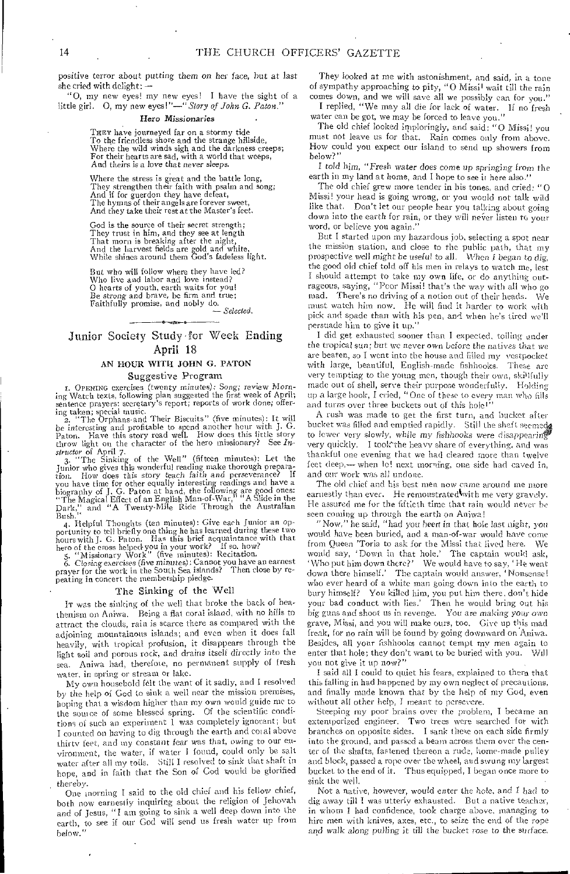positive terror about **putting them on her** face, but at last she cried with delight: —

" 0, my new eyes! my new eyes! I have the sight of a little girl. 0, my new eyes!"—"Sfory **of John G. Paton."** 

#### **Hero Missionaries**

**That** have journeyed far on a stormy tide To the friendless shore and the strange hillside, Where the wild winds sigh and the darkness creeps; For their hearts are sad, with a world that weeps, And theirs is a love that **never sleeps.** 

Where the stress is great and the battle long, They strengthen their faith with psalm and song; And if for guerdon they have defeat, The hymns of their angels are forever sweet. And they take their rest at the Master's **feet.** 

God is the source of their secret strength; They trust in him, and they see at length That morn is breaking after the night, And the harvest fields are gold and white. While shines around **them** God's fadeless light.

But who will follow where they have led? Who live and labor and love instead? 0 hearts of youth, earth waits for youl **Be** strong and brave, be firm and true; Faithfully promise, and nobly do.

**— Selected.** 

## **Junior Society Study•for Week Ending April 18**

## AN HOUR WITH JOHN G. PATON

#### **Suggestive Program**

**t. OPENING** exercises (twenty minutes): Song; **review Morning** Watch texts, following plan suggested the first week of April; sentence **prayers: secretary** a **report;** reports of work done; offer-

ing taken; special music. 2. '1 Orphansand Their Biscuits" (five minutes): It will be interesting and profitable to spend another hour with J. G. Paton. Have this story read well. How does this little story Paton. Have this story read well. How does this little story<br>throw light on the character of the hero missionary? See In-

structor of April 7.<br>3. "The Sinking of the Well" (fifteen minutes): Let the<br>Junior who gives this wonderful reading make thorough preparation. How does this story teach faith and perseverance? If<br>you have time for other equally interesting readings and have a<br>biography of J. G. Paton at hand, the following are good ones:<br>"The Magical Effect of an English Ma

Bush." 4. Helpful Thoughts (ten minutes): Give each Junior an op-portunity to tell briefly one thing he has learned during these two hours withJ. G. Paton. Has this brief acquaintance with **that** 

hero of the cross helpect you in your work? If so, how?<br>5. "Missionary Work" (five minutes): Recitation.<br>6. Closing exercises (five minutes): Cannot you have an earnest<br>prayer for the work in the South Sea islands? Then cl

peating in concert the membership pledge.

#### **The Sinking** of **the Well**

**IT** was the sinking of the well that broke the back of heathenism on Aniwa. Being a flat coral island. with no hills to attract the clouds, rain is scarce there as compared with the adjoining mountainous islands; and even when it does fall heavily, with tropical profusion, it disappears through the light soil and porous rock, and drains itself **directly** into the sea. Aniwa had, therefore, no permanent supply of fresh water, in spring or stream or lake.

My own household felt the want of it sadly, and I resolved by the help of God to sink a well near the mission premises, hoping that a wisdom higher than my own would guide me to the source of some blessed spring. Of the scientific conditions of such an experiment I was completely ignorant; but I counted on having to dig through the earth and coral above thirty feet, and my constant **fear** was that, **owing** to our environment, the water, ff water I found, could only be salt water after all my toils. Still **I** resolved to sink that shaft in hope, and in faith that the Son of God would be glorified thereby.

One morning I said to the old chief and his fellow chief, both now earnestly inquiring about the religion of Jehovah and of Jesus, "I am going to sink a well deep down into the earth, to see if our God will send us fresh water up from below.

They looked at me with astonishment, and said, in a tone of sympathy approaching to pity, "0 Missii wait till the rain comes down, and we will save all we possibly can for you."

I replied, "We **may** all die for lack of water. If no fresh water can be got, we may be forced to leave you."

The old chief looked imploringly, and said: "O Missi! you must not leave us **for** that. Rain comes only from above. How could **you expect** our island to send up showers from below?"

I **told him, "Fresh water** does come up springing from the earth in my land at home, and I hope to see ii here also."

The old chief grew **more** tender in his tones, and cried: "0 Missi! your head is going wrong, or you would not talk wild like that. Don't let our people hear you talking about going down **into** the earth for rain, or they will never listen to your word, or believe you again."

But I started upon my hazardous job, selecting a spot near the mission station, and close to the public path, that my prospective well might be useful to all. When  $\ell$  began to dig, prospective well might be useful to all. the good old chief told off his men in relays to watch me, lest I should attempt to take my own life, or do anything outrageous, saying, "Poor Missi! that's the way with all who go mad. There's no driving of a notion out of their heads. We must watch him now. **He** will find it harder to work with pick and spade than with his pen, and when he's tired we'll persuade him to give it up."

I did get exhausted sooner than I expected, toiling under the tropical sun; but we never own **before the natives that** we are beaten, so I went into the house and filled my vestpocket with large, beautiful, English-made fishhooks. These are very tempting to the young men, though their own, skillfully made out of shell, serve their purpose wonderfully. Holding up a large hook, I cried, "One of these to every man who fills and turns over three buckets out of this hole!'

A rush was made to get the first turn, and bucket after bucket was filled and emptied rapidly. Still the shaft seem to lower very slowly, while my **fishhooks** were disappea very quickly. I took the heavy share of everything, and was thankful one evening that we had cleared more than twelve feet deep,—when lo! next morning, one side had caved in, and our work was all undone.

The old chief and his best men now came around me more earnestly than ever. He remonstrated with me very gravely. He assured me for the fiftieth time that rain would never be seen coming up through the earth on Aniwa!

**"Now," he** said, "had you inert in that hole last night, **you**  would have been buried, and a man-of-war would have come from Queen 'Toria to ask for the Missi that lived here. We would say, 'Down in that hole.' The captain would ask, 'Who put him down there?' We would have to say,'Hewent down there himself.' The captain would answer, 'Nonsense! who ever heard of a white man going down into the earth to bury himself? You killed him, you put him there. don't hide your bad conduct with lies.' Then he would bring out his Then he would bring out his big guns and shoot us in revenge. You are making **your** own grave, Missi, and you will make ours, too. Give up this mad freak, for no rain will be found by going downward on Aniwa. Besides, all your fishhooks cannot tempt my men again to enter that hole; they don't want to be buried with you. Will you not give it up now?"

I said all I could to quiet his fears, explained to them that this falling in had happened by my own neglect of precautions, and finally made known that by the help of my God, even without all other help, I meant to persevere.

Steeping my poor brains over the problem. I became an extemporized engineer. Two trees were searched for with branches on opposite sides. I sank these on each side firmly into the ground, and passed a beam across them over the center of the shafts, fastened thereon a rude, home-made pulley and block, passed a rope over the wheel, and swung my largest bucket to the end of it. Thus equipped, I began once more to sink the well.

Not a native, however, would enter the hole, and I had to dig away till I was utterly exhausted. But a native teacher. in whom I had confidence, took charge above. managing to hire men with knives, axes, etc., to seize the end of the rope and walk **along pulling it** till the **bucket rose** to the surface.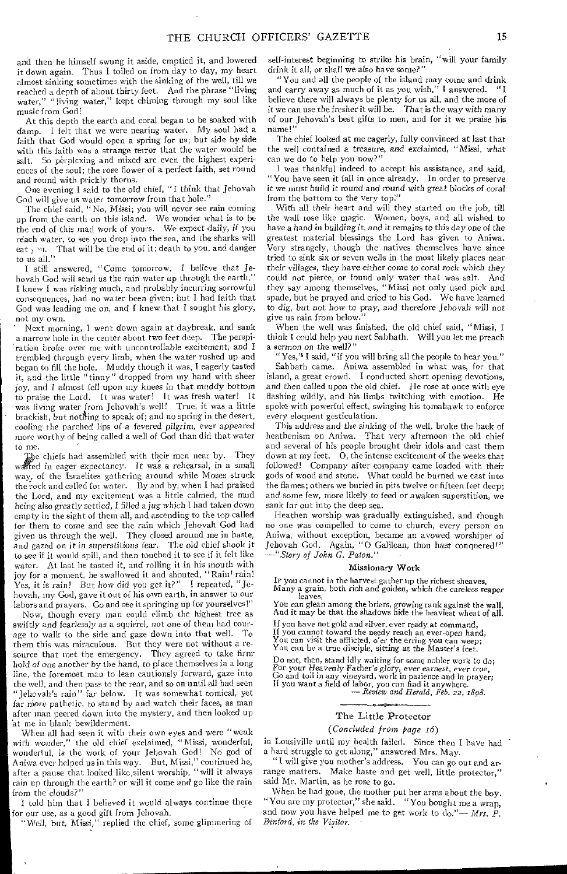and then he himself swung it aside, emptied it, and lowered it down again. Thus I toiled on from day to day, my heart almost sinking sometimes with the sinking of the well, till we reached a depth of about thirty feet. And the phrase "living water," "living water," kept chiming through my soul like music from God!

At this depth the earth and coral began to be soaked with damp. I felt that we were nearing water. My soul had a faith that God would open a spring for us; but side by side with this faith was a strange terror that the water would be salt. So perplexing and mixed are even the highest experiences of the soul; the rose flower of a perfect faith, set round and round with prickly thorns.

One evening I said to the old chief, "I think that Jehovah God will give us water tomorrow from that hole."

The chief said, "No, Missi; you will never see rain coming up from the earth on this island. We wonder what is to be the end of this mad work of yours. We expect daily, if you reach water, to see you drop into the sea, and the sharks will eat  $y$  m. That will be the end of it: death to you, and danger to us all."

I still answered, "Come tomorrow. I believe that Jehovah God will send us the rain water up through the earth." I knew I was risking much, and probably incurring sorrowful consequences, had no water been given; but I had faith that God was leading me on, and I knew that I sought his glory, not my own.

Next morning, I went down again at daybreak, and sank a narrow hole in the center about two feet deep. The perspi- ' ration broke over me with uncontrollable excitement, and I trembled through every limb, when the water rushed up and began to fill the hole. Muddy though it was, I eagerly tasted it, and the little "tinny" dropped from my hand with sheer joy, and I almost fell upon my knees in that muddy bottom to praise the Lord. It was water! It was fresh water! It was living water from Jehovah's well! True, it was a little brackish, but nothing to speak of; and no spring in the desert, cooling the parched lips of a fevered *pilgrim,* ever appeared more worthy of being called a well of God than did that water to me.

the chiefs had assembled with their men near by. They watted in eager expectancy. It was a rehearsal, in a small way, of the Israelites gathering around while Moses struck the rock and called for water. By and by, when I had praised the Lord, and my excitement was a little calmed, the mud being also greatly settled, I filled a *jug* which I had taken down empty in the sight of them all, and ascending to the top called for them to come and see the rain which Jehovah God had given us through the well. They closed around me in haste, and gazed on it in *superstitious fear.* The old chief shook it to see if it would spill, and then touched it to see if it felt like water. At last he tasted it, and rolling it in his mouth with joy for a moment, he swallowed it and shouted, "Rain! rain! Yes, it is *rain!* But how did you get it?" I repeated, "Jehovah, my God, gave it out of his own earth, in answer to our labors and prayers. Go and see it springing up for yourselves!"

Now, though every man could climb the highest tree as *swif* tly and fearlessly as a squir'rel, not one of them had courage to walk to the side and gaze down into that well. To them this was miraculous. But they were not without a resource that met the emergency. They agreed to take firmhold *of one* another by the hand, to place themselves in a long line, the foremost man to lean cautiously forward, gaze into the well, and then pass to the rear, and so on until all had seen "Jehovah's rain" far below. It was somewhat comical, yet *far niore* pathetic, to stand by and watch their faces, as man after man peered down into the mystery, and then looked up 'at me in blank bewilderment.

When all had seen it with their own eyes and were "weak with wonder," the old chief exclaimed, "Missi, wonderful, wonderful, is the work of your Jehovah God! No god of Aniwa ever helped us in this way. But, Missi," continued he, after a pause that looked like,silent worship, "will it always rain up through the earth? or will it come and go like the rain from the clouds?"

I told him that I believed it would always continue there for our use, as a good gift from Jehovah.

"Well, but, Missi," replied the chief, some glimmering of

self-interest beginning to strike his brain, "will your family drink it all, or shall we also have some?"

"You and all the people of the island may come and drink and carry away as much of it as you wish," I answered. "I believe there will always be plenty for us all, and the more of it we can use the fresher it will be. That is the way with many of our Jehovah's best gifts to men, and for it we praise his name!"

The chief looked at me eagerly, fully convinced at last that the well contained a treasure, and exclaimed, *"Missi,* what can we do to help you now?

I was thankful indeed to accept his assistance, and said, "You have seen it fall in once already. In order to preserve it we must build it round and round with *great* blocks *of coral*  from the bottom to the very top."

With all their heart and will they started on the job, till the wall rose like magic. Women, boys, and all wished to have a hand in *building* it, and it remains to this day one of the greatest material blessings the Lord has given to Aniwa. Very strangely, though the natives themselves have since tried to sink six or seven wells in the most likely places near their *villages,* they have either come to coral rock which they could not pierce, or found only water that was salt. And they say among themselves, "Missi not only used pick and spade, but he prayed and cried to his God. We have learned to *dig,* but *not how* to pray, and therefore Jehovah will not give us rain from below."

When the well was finished, the old chief said, "Missi, I think I could help you next Sabbath, Will you let me preach a sermon *on the well?"* 

"Yes," I said, "if you will bring all the people to hear you." Sabbath came. Aniwa assembled in what was, for that island, a great crowd. I conducted short opening devotions, and then called upon the old chief. He rose at once with eye flashing wildly, and his limbs twitching with emotion. He spoke with powerful effect, swinging his tomahawk to enforce every eloquent gesticulation.

This address and the sinking of the well, broke the back of heathenism on Aniwa. That very afternoon the old chief and several of his people brought their idols and cast them down at my feet. 0, the intense excitement of the weeks that followed! Company after company came loaded with their gods of wood and stone. What could be burned we cast into the flames; others we buried in pits twelve or fifteen feet deep; and some few, more likely to feed or awaken superstition, we sank far out into the deep sea,

Heathen worship was gradually extinguished, and though no one was compelled to come to church, every person on Aniwa, without exception, became an avowed worshiper of Jehovah God. Again, "0 Galilean, thou hast conquered!" *—"Story of John G. Paton."* 

#### Missionary Work

It you cannot in the harvest gather up the richest sheaves, Many a grain, both rich and golden, which the careless reaper

leaves, You can glean among the briers, growing rank against the wall, And it may be that the shadows hide the heaviest wheat of all.

If you have not gold and silver, ever ready at command, If you cannot toward the needy reach an ever-open hand, You can visit the afflicted, o'er the erring you can weep; You can be a true disciple, sitting at the Master's feet.

Do not, then, stand idly waiting for some nobler work to do; For your Heavenly Father's *glory, ever earnest, ever* true, Go and toil in any vineyard, work in patience and in prayer; If you want a field of labor, you ran find it anywhere.

## *— Review and Herald, Feb. 22,1898.*

#### The Little Protector

#### *(Concluded front page id)*

*in* Lousiville until my health failed. Since then I have had a hard struggle to get along," answered Mrs. May.

"I will give you mother's address. You can go out and arrange matters. Make haste and get well, little protector," said Mr. Martin, as he rose to go.

When he had gone, the mother put her arms about the boy. "You are my protector," she said. "You bought me a wrap, and now you have helped me to get work to do."— *Mrs, E Hinford, in the Visitor.*